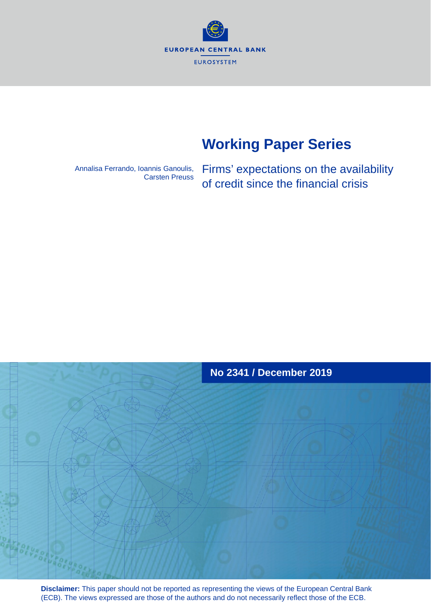**EUROPEAN CENTRAL BANK** EUROSYSTEM

# **Working Paper Series**

Annalisa Ferrando, Ioannis Ganoulis, Carsten Preuss Firms' expectations on the availability of credit since the financial crisis



**Disclaimer:** This paper should not be reported as representing the views of the European Central Bank (ECB). The views expressed are those of the authors and do not necessarily reflect those of the ECB.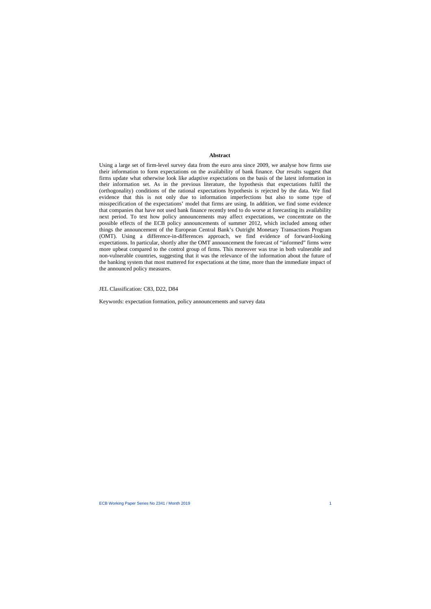#### **Abstract**

Using a large set of firm-level survey data from the euro area since 2009, we analyse how firms use their information to form expectations on the availability of bank finance. Our results suggest that firms update what otherwise look like adaptive expectations on the basis of the latest information in their information set. As in the previous literature, the hypothesis that expectations fulfil the (orthogonality) conditions of the rational expectations hypothesis is rejected by the data. We find evidence that this is not only due to information imperfections but also to some type of misspecification of the expectations' model that firms are using. In addition, we find some evidence that companies that have not used bank finance recently tend to do worse at forecasting its availability next period. To test how policy announcements may affect expectations, we concentrate on the possible effects of the ECB policy announcements of summer 2012, which included among other things the announcement of the European Central Bank's Outright Monetary Transactions Program (OMT). Using a difference-in-differences approach, we find evidence of forward-looking expectations. In particular, shortly after the OMT announcement the forecast of "informed" firms were more upbeat compared to the control group of firms. This moreover was true in both vulnerable and non-vulnerable countries, suggesting that it was the relevance of the information about the future of the banking system that most mattered for expectations at the time, more than the immediate impact of the announced policy measures.

#### JEL Classification: C83, D22, D84

Keywords: expectation formation, policy announcements and survey data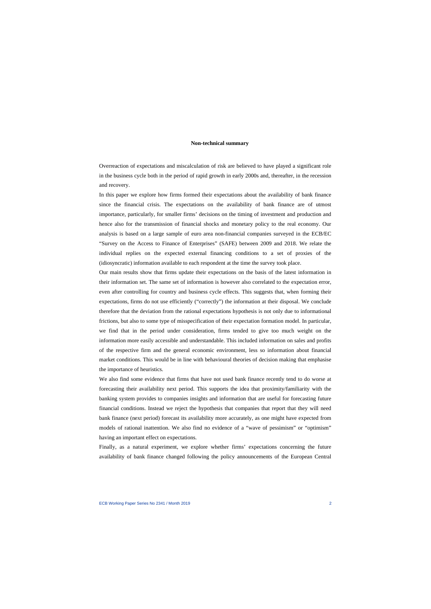#### **Non-technical summary**

Overreaction of expectations and miscalculation of risk are believed to have played a significant role in the business cycle both in the period of rapid growth in early 2000s and, thereafter, in the recession and recovery.

In this paper we explore how firms formed their expectations about the availability of bank finance since the financial crisis. The expectations on the availability of bank finance are of utmost importance, particularly, for smaller firms' decisions on the timing of investment and production and hence also for the transmission of financial shocks and monetary policy to the real economy. Our analysis is based on a large sample of euro area non-financial companies surveyed in the ECB/EC "Survey on the Access to Finance of Enterprises" (SAFE) between 2009 and 2018. We relate the individual replies on the expected external financing conditions to a set of proxies of the (idiosyncratic) information available to each respondent at the time the survey took place.

Our main results show that firms update their expectations on the basis of the latest information in their information set. The same set of information is however also correlated to the expectation error, even after controlling for country and business cycle effects. This suggests that, when forming their expectations, firms do not use efficiently ("correctly") the information at their disposal. We conclude therefore that the deviation from the rational expectations hypothesis is not only due to informational frictions, but also to some type of misspecification of their expectation formation model. In particular, we find that in the period under consideration, firms tended to give too much weight on the information more easily accessible and understandable. This included information on sales and profits of the respective firm and the general economic environment, less so information about financial market conditions. This would be in line with behavioural theories of decision making that emphasise the importance of heuristics.

We also find some evidence that firms that have not used bank finance recently tend to do worse at forecasting their availability next period. This supports the idea that proximity/familiarity with the banking system provides to companies insights and information that are useful for forecasting future financial conditions. Instead we reject the hypothesis that companies that report that they will need bank finance (next period) forecast its availability more accurately, as one might have expected from models of rational inattention. We also find no evidence of a "wave of pessimism" or "optimism" having an important effect on expectations.

Finally, as a natural experiment, we explore whether firms' expectations concerning the future availability of bank finance changed following the policy announcements of the European Central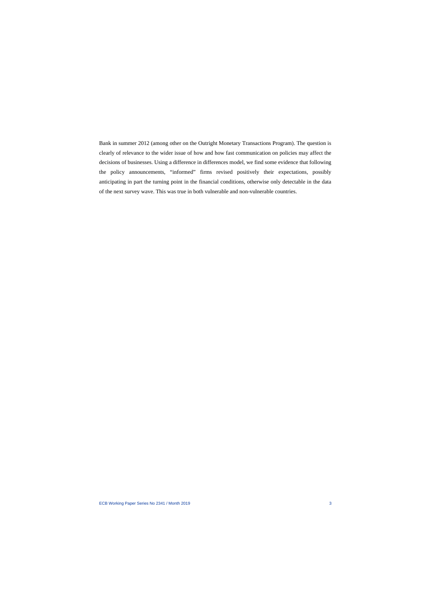Bank in summer 2012 (among other on the Outright Monetary Transactions Program). The question is clearly of relevance to the wider issue of how and how fast communication on policies may affect the decisions of businesses. Using a difference in differences model, we find some evidence that following the policy announcements, "informed" firms revised positively their expectations, possibly anticipating in part the turning point in the financial conditions, otherwise only detectable in the data of the next survey wave. This was true in both vulnerable and non-vulnerable countries.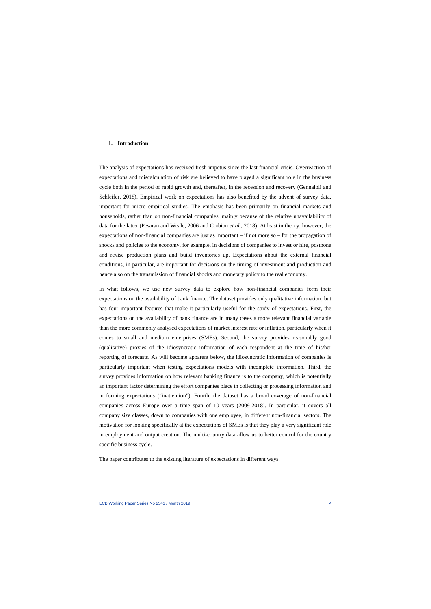#### **1. Introduction**

The analysis of expectations has received fresh impetus since the last financial crisis. Overreaction of expectations and miscalculation of risk are believed to have played a significant role in the business cycle both in the period of rapid growth and, thereafter, in the recession and recovery (Gennaioli and Schleifer, 2018). Empirical work on expectations has also benefited by the advent of survey data, important for micro empirical studies. The emphasis has been primarily on financial markets and households, rather than on non-financial companies, mainly because of the relative unavailability of data for the latter (Pesaran and Weale, 2006 and Coibion *et al.*, 2018). At least in theory, however, the expectations of non-financial companies are just as important – if not more so – for the propagation of shocks and policies to the economy, for example, in decisions of companies to invest or hire, postpone and revise production plans and build inventories up. Expectations about the external financial conditions, in particular, are important for decisions on the timing of investment and production and hence also on the transmission of financial shocks and monetary policy to the real economy.

In what follows, we use new survey data to explore how non-financial companies form their expectations on the availability of bank finance. The dataset provides only qualitative information, but has four important features that make it particularly useful for the study of expectations. First, the expectations on the availability of bank finance are in many cases a more relevant financial variable than the more commonly analysed expectations of market interest rate or inflation, particularly when it comes to small and medium enterprises (SMEs). Second, the survey provides reasonably good (qualitative) proxies of the idiosyncratic information of each respondent at the time of his/her reporting of forecasts. As will become apparent below, the idiosyncratic information of companies is particularly important when testing expectations models with incomplete information. Third, the survey provides information on how relevant banking finance is to the company, which is potentially an important factor determining the effort companies place in collecting or processing information and in forming expectations ("inattention"). Fourth, the dataset has a broad coverage of non-financial companies across Europe over a time span of 10 years (2009-2018). In particular, it covers all company size classes, down to companies with one employee, in different non-financial sectors. The motivation for looking specifically at the expectations of SMEs is that they play a very significant role in employment and output creation. The multi-country data allow us to better control for the country specific business cycle.

The paper contributes to the existing literature of expectations in different ways.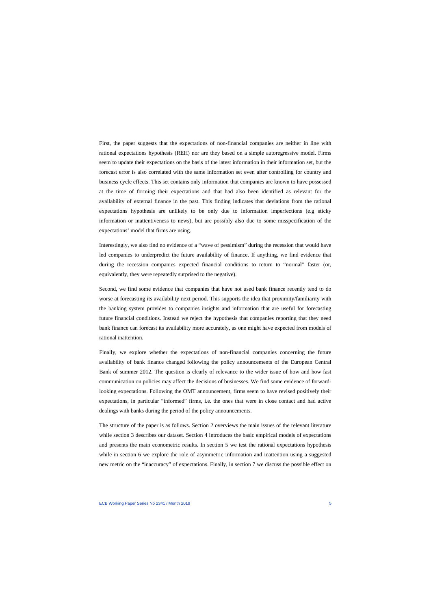First, the paper suggests that the expectations of non-financial companies are neither in line with rational expectations hypothesis (REH) nor are they based on a simple autoregressive model. Firms seem to update their expectations on the basis of the latest information in their information set, but the forecast error is also correlated with the same information set even after controlling for country and business cycle effects. This set contains only information that companies are known to have possessed at the time of forming their expectations and that had also been identified as relevant for the availability of external finance in the past. This finding indicates that deviations from the rational expectations hypothesis are unlikely to be only due to information imperfections (e.g sticky information or inattentiveness to news), but are possibly also due to some misspecification of the expectations' model that firms are using.

Interestingly, we also find no evidence of a "wave of pessimism" during the recession that would have led companies to underpredict the future availability of finance. If anything, we find evidence that during the recession companies expected financial conditions to return to "normal" faster (or, equivalently, they were repeatedly surprised to the negative).

Second, we find some evidence that companies that have not used bank finance recently tend to do worse at forecasting its availability next period. This supports the idea that proximity/familiarity with the banking system provides to companies insights and information that are useful for forecasting future financial conditions. Instead we reject the hypothesis that companies reporting that they need bank finance can forecast its availability more accurately, as one might have expected from models of rational inattention.

Finally, we explore whether the expectations of non-financial companies concerning the future availability of bank finance changed following the policy announcements of the European Central Bank of summer 2012. The question is clearly of relevance to the wider issue of how and how fast communication on policies may affect the decisions of businesses. We find some evidence of forwardlooking expectations. Following the OMT announcement, firms seem to have revised positively their expectations, in particular "informed" firms, i.e. the ones that were in close contact and had active dealings with banks during the period of the policy announcements.

The structure of the paper is as follows. Section 2 overviews the main issues of the relevant literature while section 3 describes our dataset. Section 4 introduces the basic empirical models of expectations and presents the main econometric results. In section 5 we test the rational expectations hypothesis while in section 6 we explore the role of asymmetric information and inattention using a suggested new metric on the "inaccuracy" of expectations. Finally, in section 7 we discuss the possible effect on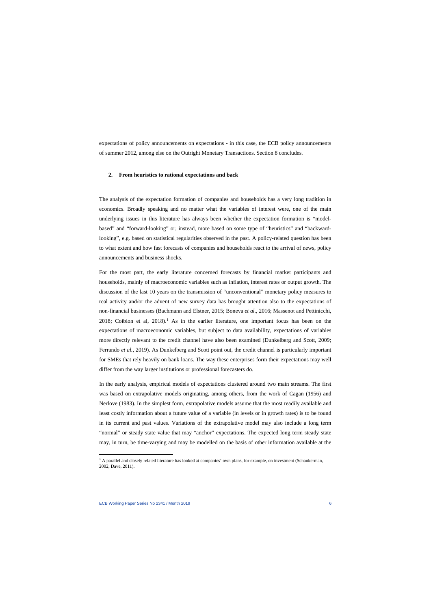expectations of policy announcements on expectations - in this case, the ECB policy announcements of summer 2012, among else on the Outright Monetary Transactions. Section 8 concludes.

#### **2. From heuristics to rational expectations and back**

The analysis of the expectation formation of companies and households has a very long tradition in economics. Broadly speaking and no matter what the variables of interest were, one of the main underlying issues in this literature has always been whether the expectation formation is "modelbased" and "forward-looking" or, instead, more based on some type of "heuristics" and "backwardlooking", e.g. based on statistical regularities observed in the past. A policy-related question has been to what extent and how fast forecasts of companies and households react to the arrival of news, policy announcements and business shocks.

For the most part, the early literature concerned forecasts by financial market participants and households, mainly of macroeconomic variables such as inflation, interest rates or output growth. The discussion of the last 10 years on the transmission of "unconventional" monetary policy measures to real activity and/or the advent of new survey data has brought attention also to the expectations of non-financial businesses (Bachmann and Elstner, 2015; Boneva *et al.*, 2016; Massenot and Pettinicchi, 2018; Coibion et al,  $2018$ .<sup>1</sup> As in the earlier literature, one important focus has been on the expectations of macroeconomic variables, but subject to data availability, expectations of variables more directly relevant to the credit channel have also been examined (Dunkelberg and Scott, 2009; Ferrando *et al.*, 2019). As Dunkelberg and Scott point out, the credit channel is particularly important for SMEs that rely heavily on bank loans. The way these enterprises form their expectations may well differ from the way larger institutions or professional forecasters do.

In the early analysis, empirical models of expectations clustered around two main streams. The first was based on extrapolative models originating, among others, from the work of Cagan (1956) and Nerlove (1983). In the simplest form, extrapolative models assume that the most readily available and least costly information about a future value of a variable (in levels or in growth rates) is to be found in its current and past values. Variations of the extrapolative model may also include a long term "normal" or steady state value that may "anchor" expectations. The expected long term steady state may, in turn, be time-varying and may be modelled on the basis of other information available at the

<span id="page-6-0"></span><sup>&</sup>lt;sup>1</sup> A parallel and closely related literature has looked at companies' own plans, for example, on investment (Schankerman, 2002, Dave, 2011).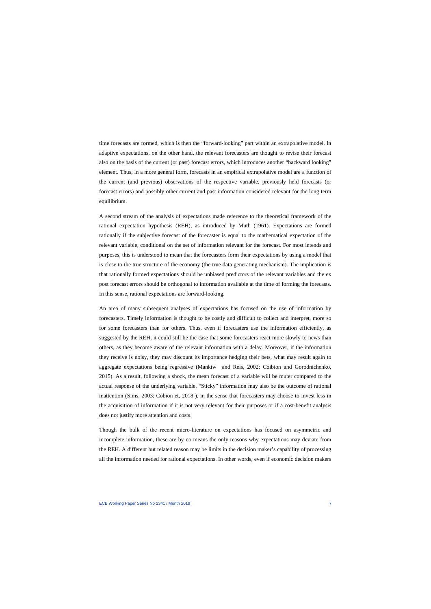time forecasts are formed, which is then the "forward-looking" part within an extrapolative model. In adaptive expectations, on the other hand, the relevant forecasters are thought to revise their forecast also on the basis of the current (or past) forecast errors, which introduces another "backward looking" element. Thus, in a more general form, forecasts in an empirical extrapolative model are a function of the current (and previous) observations of the respective variable, previously held forecasts (or forecast errors) and possibly other current and past information considered relevant for the long term equilibrium.

A second stream of the analysis of expectations made reference to the theoretical framework of the rational expectation hypothesis (REH), as introduced by Muth (1961). Expectations are formed rationally if the subjective forecast of the forecaster is equal to the mathematical expectation of the relevant variable, conditional on the set of information relevant for the forecast. For most intends and purposes, this is understood to mean that the forecasters form their expectations by using a model that is close to the true structure of the economy (the true data generating mechanism). The implication is that rationally formed expectations should be unbiased predictors of the relevant variables and the ex post forecast errors should be orthogonal to information available at the time of forming the forecasts. In this sense, rational expectations are forward-looking.

An area of many subsequent analyses of expectations has focused on the use of information by forecasters. Timely information is thought to be costly and difficult to collect and interpret, more so for some forecasters than for others. Thus, even if forecasters use the information efficiently, as suggested by the REH, it could still be the case that some forecasters react more slowly to news than others, as they become aware of the relevant information with a delay. Moreover, if the information they receive is noisy, they may discount its importance hedging their bets, what may result again to aggregate expectations being regressive (Mankiw and Reis, 2002; Coibion and Gorodnichenko, 2015). As a result, following a shock, the mean forecast of a variable will be muter compared to the actual response of the underlying variable. "Sticky" information may also be the outcome of rational inattention (Sims, 2003; Cobion et, 2018 ), in the sense that forecasters may choose to invest less in the acquisition of information if it is not very relevant for their purposes or if a cost-benefit analysis does not justify more attention and costs.

Though the bulk of the recent micro-literature on expectations has focused on asymmetric and incomplete information, these are by no means the only reasons why expectations may deviate from the REH. A different but related reason may be limits in the decision maker's capability of processing all the information needed for rational expectations. In other words, even if economic decision makers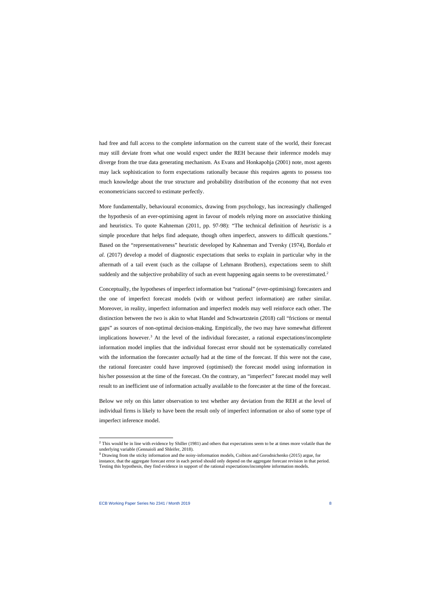had free and full access to the complete information on the current state of the world, their forecast may still deviate from what one would expect under the REH because their inference models may diverge from the true data generating mechanism. As Evans and Honkapohja (2001) note, most agents may lack sophistication to form expectations rationally because this requires agents to possess too much knowledge about the true structure and probability distribution of the economy that not even econometricians succeed to estimate perfectly.

More fundamentally, behavioural economics, drawing from psychology, has increasingly challenged the hypothesis of an ever-optimising agent in favour of models relying more on associative thinking and heuristics. To quote Kahneman (2011, pp. 97-98): "The technical definition of *heuristic* is a simple procedure that helps find adequate, though often imperfect, answers to difficult questions." Based on the "representativeness" heuristic developed by Kahneman and Tversky (1974), Bordalo *et al.* (2017) develop a model of diagnostic expectations that seeks to explain in particular why in the aftermath of a tail event (such as the collapse of Lehmann Brothers), expectations seem to shift suddenly and the subjective probability of such an event happening again seems to be overestimated.<sup>[2](#page-8-0)</sup>

Conceptually, the hypotheses of imperfect information but "rational" (ever-optimising) forecasters and the one of imperfect forecast models (with or without perfect information) are rather similar. Moreover, in reality, imperfect information and imperfect models may well reinforce each other. The distinction between the two is akin to what Handel and Schwartzstein (2018) call "frictions or mental gaps" as sources of non-optimal decision-making. Empirically, the two may have somewhat different implications however.<sup>[3](#page-8-1)</sup> At the level of the individual forecaster, a rational expectations/incomplete information model implies that the individual forecast error should not be systematically correlated with the information the forecaster *actually* had at the time of the forecast. If this were not the case, the rational forecaster could have improved (optimised) the forecast model using information in his/her possession at the time of the forecast. On the contrary, an "imperfect" forecast model may well result to an inefficient use of information actually available to the forecaster at the time of the forecast.

Below we rely on this latter observation to test whether any deviation from the REH at the level of individual firms is likely to have been the result only of imperfect information or also of some type of imperfect inference model.

<sup>&</sup>lt;sup>2</sup> This would be in line with evidence by Shiller (1981) and others that expectations seem to be at times more volatile than the underlying variable (Gennaioli and Shleifer, 2018).

<span id="page-8-1"></span><span id="page-8-0"></span><sup>3</sup> Drawing from the sticky information and the noisy-information models, Coibion and Gorodnichenko (2015) argue, for instance, that the aggregate forecast error in each period should only depend on the aggregate forecast revision in that period. Testing this hypothesis, they find evidence in support of the rational expectations/incomplete information models.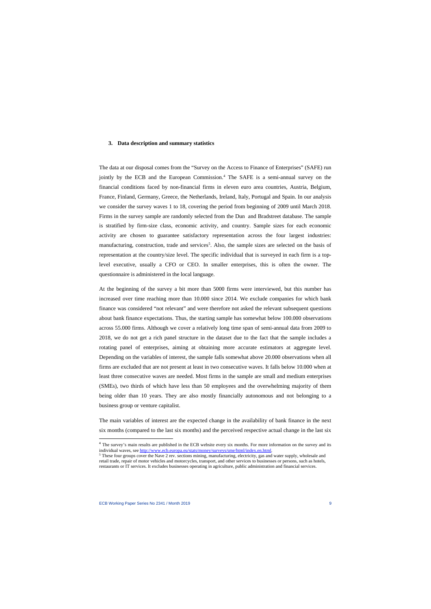## **3. Data description and summary statistics**

The data at our disposal comes from the "Survey on the Access to Finance of Enterprises" (SAFE) run jointly by the ECB and the European Commission. [4](#page-9-0) The SAFE is a semi-annual survey on the financial conditions faced by non-financial firms in eleven euro area countries, Austria, Belgium, France, Finland, Germany, Greece, the Netherlands, Ireland, Italy, Portugal and Spain. In our analysis we consider the survey waves 1 to 18, covering the period from beginning of 2009 until March 2018. Firms in the survey sample are randomly selected from the Dun and Bradstreet database. The sample is stratified by firm-size class, economic activity, and country. Sample sizes for each economic activity are chosen to guarantee satisfactory representation across the four largest industries: manufacturing, construction, trade and services<sup>[5](#page-9-1)</sup>. Also, the sample sizes are selected on the basis of representation at the country/size level. The specific individual that is surveyed in each firm is a toplevel executive, usually a CFO or CEO. In smaller enterprises, this is often the owner. The questionnaire is administered in the local language.

At the beginning of the survey a bit more than 5000 firms were interviewed, but this number has increased over time reaching more than 10.000 since 2014. We exclude companies for which bank finance was considered "not relevant" and were therefore not asked the relevant subsequent questions about bank finance expectations. Thus, the starting sample has somewhat below 100.000 observations across 55.000 firms. Although we cover a relatively long time span of semi-annual data from 2009 to 2018, we do not get a rich panel structure in the dataset due to the fact that the sample includes a rotating panel of enterprises, aiming at obtaining more accurate estimators at aggregate level. Depending on the variables of interest, the sample falls somewhat above 20.000 observations when all firms are excluded that are not present at least in two consecutive waves. It falls below 10.000 when at least three consecutive waves are needed. Most firms in the sample are small and medium enterprises (SMEs), two thirds of which have less than 50 employees and the overwhelming majority of them being older than 10 years. They are also mostly financially autonomous and not belonging to a business group or venture capitalist.

The main variables of interest are the expected change in the availability of bank finance in the next six months (compared to the last six months) and the perceived respective actual change in the last six

<sup>&</sup>lt;sup>4</sup> The survey's main results are published in the ECB website every six months. For more information on the survey and its individual waves, see http://www.ecb.europa.eu/stats/money/surveys/sme/html/index.en.html.

<span id="page-9-1"></span><span id="page-9-0"></span> $\delta$  These four groups cover the Nave 2 rev. sections mining, manufacturing, electricity, gas and water supply, wholesale and retail trade, repair of motor vehicles and motorcycles, transport, and other services to businesses or persons, such as hotels, restaurants or IT services. It excludes businesses operating in agriculture, public administration and financial services.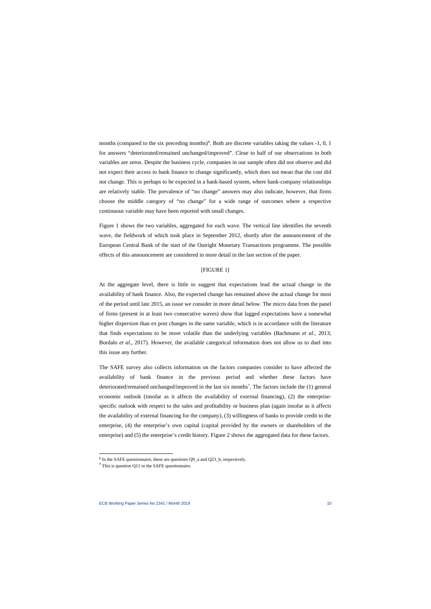months (compared to the six preceding months)<sup>[6](#page-10-0)</sup>. Both are discrete variables taking the values  $-1$ , 0, 1 for answers "deteriorated/remained unchanged/improved". Close to half of our observations in both variables are zeros. Despite the business cycle, companies in our sample often did not observe and did not expect their access to bank finance to change significantly, which does not mean that the cost did not change. This is perhaps to be expected in a bank-based system, where bank-company relationships are relatively stable. The prevalence of "no change" answers may also indicate, however, that firms choose the middle category of "no change" for a wide range of outcomes where a respective continuous variable may have been reported with small changes.

Figure 1 shows the two variables, aggregated for each wave. The vertical line identifies the seventh wave, the fieldwork of which took place in September 2012, shortly after the announcement of the European Central Bank of the start of the Outright Monetary Transactions programme. The possible effects of this announcement are considered in more detail in the last section of the paper.

#### [FIGURE 1]

At the aggregate level, there is little to suggest that expectations lead the actual change in the availability of bank finance. Also, the expected change has remained above the actual change for most of the period until late 2015, an issue we consider in more detail below. The micro data from the panel of firms (present in at least two consecutive waves) show that lagged expectations have a somewhat higher dispersion than ex post changes in the same variable, which is in accordance with the literature that finds expectations to be more volatile than the underlying variables (Bachmann *et al.*, 2013; Bordalo *et al*., 2017). However, the available categorical information does not allow us to duel into this issue any further.

The SAFE survey also collects information on the factors companies consider to have affected the availability of bank finance in the previous period and whether these factors have deteriorated/remained unchanged/improved in the last six months<sup>7</sup>. The factors include the (1) general economic outlook (insofar as it affects the availability of external financing), (2) the enterprisespecific outlook with respect to the sales and profitability or business plan (again insofar as it affects the availability of external financing for the company), (3) willingness of banks to provide credit to the enterprise, (4) the enterprise's own capital (capital provided by the owners or shareholders of the enterprise) and (5) the enterprise's credit history. Figure 2 shows the aggregated data for these factors.

 $6$  In the SAFE questionnaire, these are questions O9 a and O23 b, respectively.

<span id="page-10-1"></span><span id="page-10-0"></span><sup>7</sup> This is question Q11 in the SAFE questionnaire.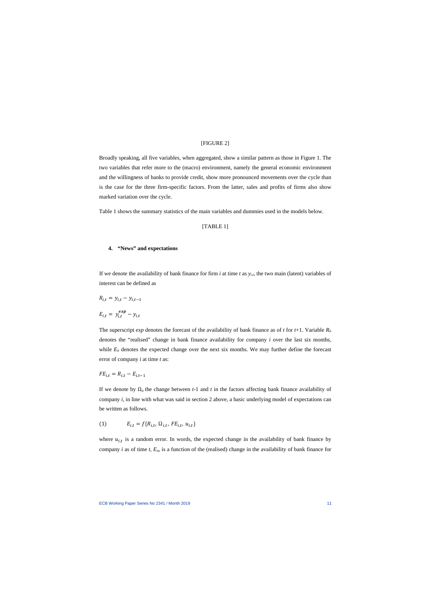## [FIGURE 2]

Broadly speaking, all five variables, when aggregated, show a similar pattern as those in Figure 1. The two variables that refer more to the (macro) environment, namely the general economic environment and the willingness of banks to provide credit, show more pronounced movements over the cycle than is the case for the three firm-specific factors. From the latter, sales and profits of firms also show marked variation over the cycle.

Table 1 shows the summary statistics of the main variables and dummies used in the models below.

# [TABLE 1]

#### **4. "News" and expectations**

If we denote the availability of bank finance for firm  $i$  at time  $t$  as  $y_{i,t}$ , the two main (latent) variables of interest can be defined as

$$
R_{i,t} = y_{i,t} - y_{i,t-1}
$$

$$
E_{i,t} = y_{i,t}^{exp} - y_{i,t}
$$

The superscript *exp* denotes the forecast of the availability of bank finance as of *t* for *t*+1. Variable *Rit* denotes the "realised" change in bank finance availability for company *i* over the last six months, while  $E_{it}$  denotes the expected change over the next six months. We may further define the forecast error of company *i* at time *t* as:

$$
FE_{i,t} = R_{i,t} - E_{i,t-1}
$$

If we denote by  $\Omega_{it}$  the change between *t*-1 and *t* in the factors affecting bank finance availability of company *i*, in line with what was said in section 2 above, a basic underlying model of expectations can be written as follows.

(1) 
$$
E_{i,t} = f\{R_{i,t}, \Omega_{i,t}, FE_{i,t}, u_{i,t}\}
$$

where  $u_{i,t}$  is a random error. In words, the expected change in the availability of bank finance by company *i* as of time *t*, *Eit*, is a function of the (realised) change in the availability of bank finance for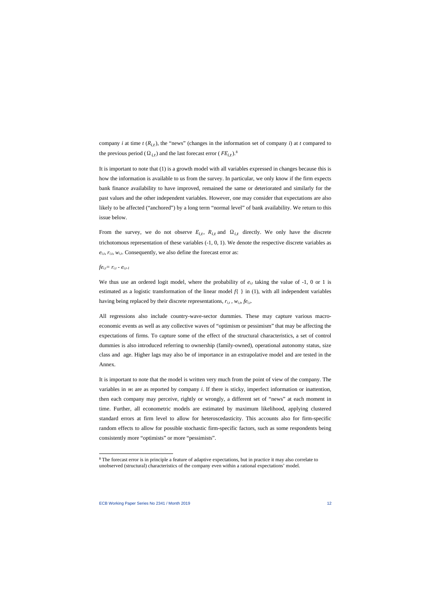company *i* at time  $t(R_{i,t})$ , the "news" (changes in the information set of company *i*) at *t* compared to the previous period ( $\Omega_{i,t}$ ) and the last forecast error ( $FE_{i,t}$ ).<sup>[8](#page-12-0)</sup>

It is important to note that (1) is a growth model with all variables expressed in changes because this is how the information is available to us from the survey. In particular, we only know if the firm expects bank finance availability to have improved, remained the same or deteriorated and similarly for the past values and the other independent variables. However, one may consider that expectations are also likely to be affected ("anchored") by a long term "normal level" of bank availability. We return to this issue below.

From the survey, we do not observe  $E_{i,t}$ ,  $R_{i,t}$  and  $\Omega_{i,t}$  directly. We only have the discrete trichotomous representation of these variables (-1, 0, 1). We denote the respective discrete variables as  $e_{i,t}$ ,  $r_{i,t}$ ,  $w_{i,t}$ . Consequently, we also define the forecast error as:

### $f e_{i,t} = r_{i,t} - e_{i,t-1}$

We thus use an ordered logit model, where the probability of  $e_{i,t}$  taking the value of -1, 0 or 1 is estimated as a logistic transformation of the linear model *f*{ } in (1), with all independent variables having being replaced by their discrete representations,  $r_{i,t}$ ,  $w_{i,t}$ ,  $fe_{i,t}$ .

All regressions also include country-wave-sector dummies. These may capture various macroeconomic events as well as any collective waves of "optimism or pessimism" that may be affecting the expectations of firms. To capture some of the effect of the structural characteristics, a set of control dummies is also introduced referring to ownership (family-owned), operational autonomy status, size class and age. Higher lags may also be of importance in an extrapolative model and are tested in the Annex.

It is important to note that the model is written very much from the point of view of the company. The variables in <sup>w</sup>*<sup>i</sup>* are as reported by company *i*. If there is sticky, imperfect information or inattention, then each company may perceive, rightly or wrongly, a different set of "news" at each moment in time. Further, all econometric models are estimated by maximum likelihood, applying clustered standard errors at firm level to allow for heteroscedasticity. This accounts also for firm-specific random effects to allow for possible stochastic firm-specific factors, such as some respondents being consistently more "optimists" or more "pessimists".

<span id="page-12-0"></span><sup>&</sup>lt;sup>8</sup> The forecast error is in principle a feature of adaptive expectations, but in practice it may also correlate to unobserved (structural) characteristics of the company even within a rational expectations' model.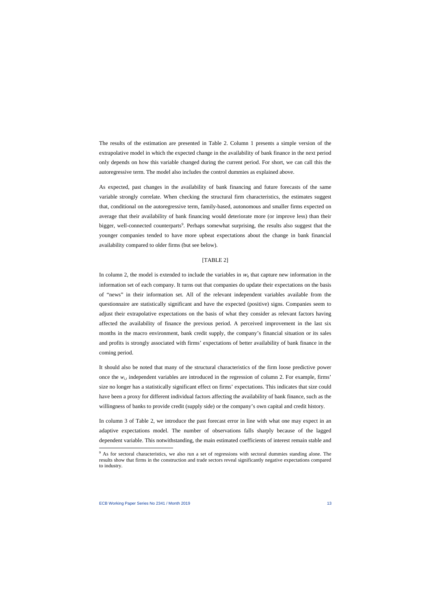The results of the estimation are presented in Table 2. Column 1 presents a simple version of the extrapolative model in which the expected change in the availability of bank finance in the next period only depends on how this variable changed during the current period. For short, we can call this the autoregressive term. The model also includes the control dummies as explained above.

As expected, past changes in the availability of bank financing and future forecasts of the same variable strongly correlate. When checking the structural firm characteristics, the estimates suggest that, conditional on the autoregressive term, family-based, autonomous and smaller firms expected on average that their availability of bank financing would deteriorate more (or improve less) than their bigger, well-connected counterparts<sup>[9](#page-13-0)</sup>. Perhaps somewhat surprising, the results also suggest that the younger companies tended to have more upbeat expectations about the change in bank financial availability compared to older firms (but see below).

#### [TABLE 2]

In column 2, the model is extended to include the variables in  $w<sub>i</sub>$  that capture new information in the information set of each company. It turns out that companies do update their expectations on the basis of "news" in their information set. All of the relevant independent variables available from the questionnaire are statistically significant and have the expected (positive) signs. Companies seem to adjust their extrapolative expectations on the basis of what they consider as relevant factors having affected the availability of finance the previous period. A perceived improvement in the last six months in the macro environment, bank credit supply, the company's financial situation or its sales and profits is strongly associated with firms' expectations of better availability of bank finance in the coming period.

It should also be noted that many of the structural characteristics of the firm loose predictive power once the  $w_{i,t}$  independent variables are introduced in the regression of column 2. For example, firms' size no longer has a statistically significant effect on firms' expectations. This indicates that size could have been a proxy for different individual factors affecting the availability of bank finance, such as the willingness of banks to provide credit (supply side) or the company's own capital and credit history.

In column 3 of Table 2, we introduce the past forecast error in line with what one may expect in an adaptive expectations model. The number of observations falls sharply because of the lagged dependent variable. This notwithstanding, the main estimated coefficients of interest remain stable and

<span id="page-13-0"></span><sup>9</sup> As for sectoral characteristics, we also run a set of regressions with sectoral dummies standing alone. The results show that firms in the construction and trade sectors reveal significantly negative expectations compared to industry.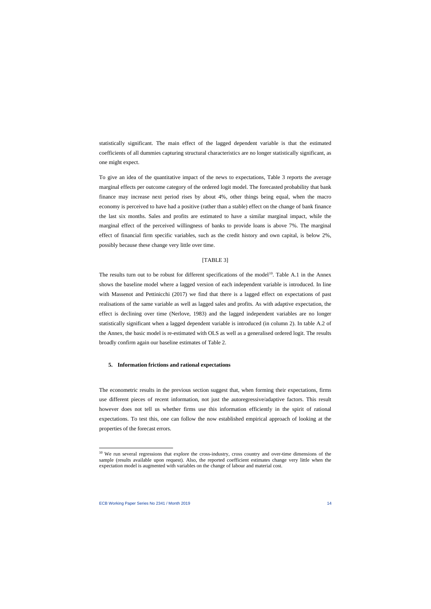statistically significant. The main effect of the lagged dependent variable is that the estimated coefficients of all dummies capturing structural characteristics are no longer statistically significant, as one might expect.

To give an idea of the quantitative impact of the news to expectations, Table 3 reports the average marginal effects per outcome category of the ordered logit model. The forecasted probability that bank finance may increase next period rises by about 4%*,* other things being equal, when the macro economy is perceived to have had a positive (rather than a stable) effect on the change of bank finance the last six months. Sales and profits are estimated to have a similar marginal impact, while the marginal effect of the perceived willingness of banks to provide loans is above 7%. The marginal effect of financial firm specific variables, such as the credit history and own capital, is below 2%, possibly because these change very little over time.

#### [TABLE 3]

The results turn out to be robust for different specifications of the model<sup>10</sup>. Table A.1 in the Annex shows the baseline model where a lagged version of each independent variable is introduced. In line with Massenot and Pettinicchi (2017) we find that there is a lagged effect on expectations of past realisations of the same variable as well as lagged sales and profits. As with adaptive expectation, the effect is declining over time (Nerlove, 1983) and the lagged independent variables are no longer statistically significant when a lagged dependent variable is introduced (in column 2). In table A.2 of the Annex, the basic model is re-estimated with OLS as well as a generalised ordered logit. The results broadly confirm again our baseline estimates of Table 2.

#### **5. Information frictions and rational expectations**

The econometric results in the previous section suggest that, when forming their expectations, firms use different pieces of recent information, not just the autoregressive/adaptive factors. This result however does not tell us whether firms use this information efficiently in the spirit of rational expectations. To test this, one can follow the now established empirical approach of looking at the properties of the forecast errors.

<span id="page-14-0"></span><sup>&</sup>lt;sup>10</sup> We run several regressions that explore the cross-industry, cross country and over-time dimensions of the sample (results available upon request). Also, the reported coefficient estimates change very little when the expectation model is augmented with variables on the change of labour and material cost.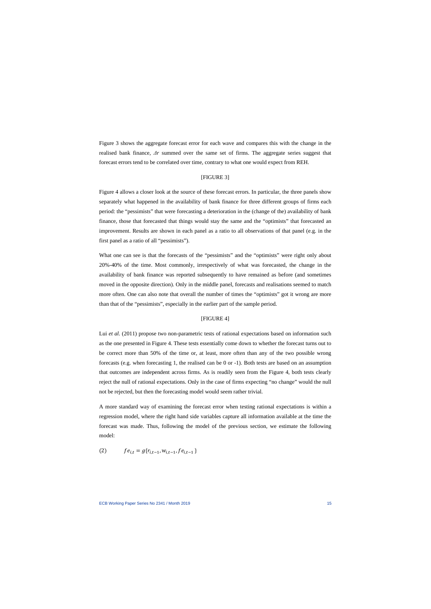Figure 3 shows the aggregate forecast error for each wave and compares this with the change in the realised bank finance, *Δr* summed over the same set of firms. The aggregate series suggest that forecast errors tend to be correlated over time, contrary to what one would expect from REH.

# [FIGURE 3]

Figure 4 allows a closer look at the source of these forecast errors. In particular, the three panels show separately what happened in the availability of bank finance for three different groups of firms each period: the "pessimists" that were forecasting a deterioration in the (change of the) availability of bank finance, those that forecasted that things would stay the same and the "optimists" that forecasted an improvement. Results are shown in each panel as a ratio to all observations of that panel (e.g. in the first panel as a ratio of all "pessimists").

What one can see is that the forecasts of the "pessimists" and the "optimists" were right only about 20%-40% of the time. Most commonly, irrespectively of what was forecasted, the change in the availability of bank finance was reported subsequently to have remained as before (and sometimes moved in the opposite direction). Only in the middle panel, forecasts and realisations seemed to match more often. One can also note that overall the number of times the "optimists" got it wrong are more than that of the "pessimists", especially in the earlier part of the sample period.

#### [FIGURE 4]

Lui *et al.* (2011) propose two non-parametric tests of rational expectations based on information such as the one presented in Figure 4. These tests essentially come down to whether the forecast turns out to be correct more than 50% of the time or, at least, more often than any of the two possible wrong forecasts (e.g. when forecasting 1, the realised can be 0 or -1). Both tests are based on an assumption that outcomes are independent across firms. As is readily seen from the Figure 4, both tests clearly reject the null of rational expectations. Only in the case of firms expecting "no change" would the null not be rejected, but then the forecasting model would seem rather trivial.

A more standard way of examining the forecast error when testing rational expectations is within a regression model, where the right hand side variables capture all information available at the time the forecast was made. Thus, following the model of the previous section, we estimate the following model:

(2) 
$$
fe_{i,t} = g\{r_{i,t-1}, w_{i,t-1}, fe_{i,t-1}\}
$$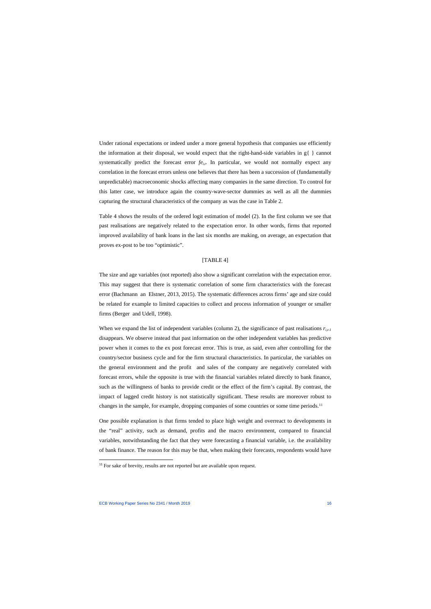Under rational expectations or indeed under a more general hypothesis that companies use efficiently the information at their disposal, we would expect that the right-hand-side variables in g{ } cannot systematically predict the forecast error  $f_{e_{it}}$ . In particular, we would not normally expect any correlation in the forecast errors unless one believes that there has been a succession of (fundamentally unpredictable) macroeconomic shocks affecting many companies in the same direction. To control for this latter case, we introduce again the country-wave-sector dummies as well as all the dummies capturing the structural characteristics of the company as was the case in Table 2.

Table 4 shows the results of the ordered logit estimation of model (2). In the first column we see that past realisations are negatively related to the expectation error. In other words, firms that reported improved availability of bank loans in the last six months are making, on average, an expectation that proves ex-post to be too "optimistic".

## [TABLE 4]

The size and age variables (not reported) also show a significant correlation with the expectation error. This may suggest that there is systematic correlation of some firm characteristics with the forecast error (Bachmann an Elstner, 2013, 2015). The systematic differences across firms' age and size could be related for example to limited capacities to collect and process information of younger or smaller firms (Berger and Udell, 1998).

When we expand the list of independent variables (column 2), the significance of past realisations  $r_{i,t-1}$ disappears. We observe instead that past information on the other independent variables has predictive power when it comes to the ex post forecast error. This is true, as said, even after controlling for the country/sector business cycle and for the firm structural characteristics. In particular, the variables on the general environment and the profit and sales of the company are negatively correlated with forecast errors, while the opposite is true with the financial variables related directly to bank finance, such as the willingness of banks to provide credit or the effect of the firm's capital. By contrast, the impact of lagged credit history is not statistically significant. These results are moreover robust to changes in the sample, for example, dropping companies of some countries or some time periods.<sup>[11](#page-16-0)</sup>

One possible explanation is that firms tended to place high weight and overreact to developments in the "real" activity, such as demand, profits and the macro environment, compared to financial variables, notwithstanding the fact that they were forecasting a financial variable, i.e. the availability of bank finance. The reason for this may be that, when making their forecasts, respondents would have

<span id="page-16-0"></span><sup>&</sup>lt;sup>11</sup> For sake of brevity, results are not reported but are available upon request.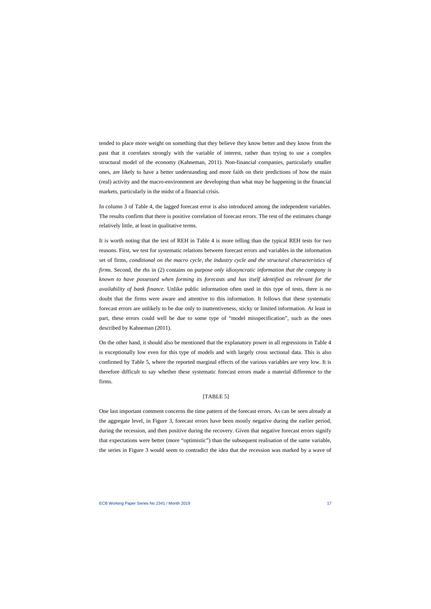tended to place more weight on something that they believe they know better and they know from the past that it correlates strongly with the variable of interest, rather than trying to use a complex structural model of the economy (Kahneman, 2011). Non-financial companies, particularly smaller ones, are likely to have a better understanding and more faith on their predictions of how the main (real) activity and the macro-environment are developing than what may be happening in the financial markets, particularly in the midst of a financial crisis.

In column 3 of Table 4, the lagged forecast error is also introduced among the independent variables. The results confirm that there is positive correlation of forecast errors. The rest of the estimates change relatively little, at least in qualitative terms.

It is worth noting that the test of REH in Table 4 is more telling than the typical REH tests for two reasons. First, we test for systematic relations between forecast errors and variables in the information set of firms, *conditional on the macro cycle, the industry cycle and the structural characteristics of firms*. Second, the rhs in (2) contains on purpose *only idiosyncratic information that the company is known to have possessed when forming its forecasts and has itself identified as relevant for the availability of bank finance.* Unlike public information often used in this type of tests, there is no doubt that the firms were aware and attentive to this information. It follows that these systematic forecast errors are unlikely to be due only to inattentiveness, sticky or limited information. At least in part, these errors could well be due to some type of "model misspecification", such as the ones described by Kahneman (2011).

On the other hand, it should also be mentioned that the explanatory power in all regressions in Table 4 is exceptionally low even for this type of models and with largely cross sectional data. This is also confirmed by Table 5, where the reported marginal effects of the various variables are very low. It is therefore difficult to say whether these systematic forecast errors made a material difference to the firms.

#### [TABLE 5]

One last important comment concerns the time pattern of the forecast errors. As can be seen already at the aggregate level, in Figure 3, forecast errors have been mostly negative during the earlier period, during the recession, and then positive during the recovery. Given that negative forecast errors signify that expectations were better (more "optimistic") than the subsequent realisation of the same variable, the series in Figure 3 would seem to contradict the idea that the recession was marked by a wave of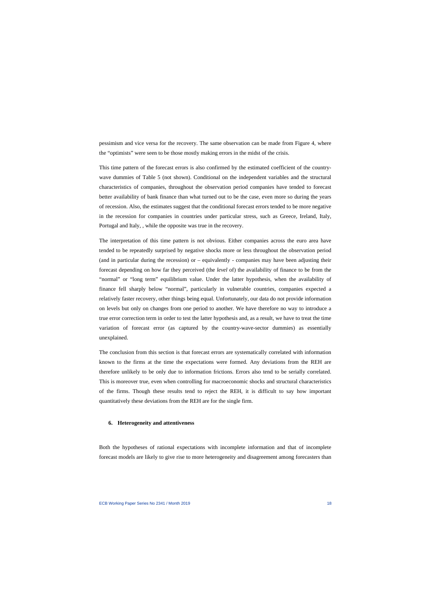pessimism and vice versa for the recovery. The same observation can be made from Figure 4, where the "optimists" were seen to be those mostly making errors in the midst of the crisis.

This time pattern of the forecast errors is also confirmed by the estimated coefficient of the countrywave dummies of Table 5 (not shown). Conditional on the independent variables and the structural characteristics of companies, throughout the observation period companies have tended to forecast better availability of bank finance than what turned out to be the case, even more so during the years of recession. Also, the estimates suggest that the conditional forecast errors tended to be more negative in the recession for companies in countries under particular stress, such as Greece, Ireland, Italy, Portugal and Italy, , while the opposite was true in the recovery.

The interpretation of this time pattern is not obvious. Either companies across the euro area have tended to be repeatedly surprised by negative shocks more or less throughout the observation period (and in particular during the recession) or – equivalently - companies may have been adjusting their forecast depending on how far they perceived (the *level* of) the availability of finance to be from the "normal" or "long term" equilibrium value. Under the latter hypothesis, when the availability of finance fell sharply below "normal", particularly in vulnerable countries, companies expected a relatively faster recovery, other things being equal. Unfortunately, our data do not provide information on levels but only on changes from one period to another. We have therefore no way to introduce a true error correction term in order to test the latter hypothesis and, as a result, we have to treat the time variation of forecast error (as captured by the country-wave-sector dummies) as essentially unexplained.

The conclusion from this section is that forecast errors are systematically correlated with information known to the firms at the time the expectations were formed. Any deviations from the REH are therefore unlikely to be only due to information frictions. Errors also tend to be serially correlated. This is moreover true, even when controlling for macroeconomic shocks and structural characteristics of the firms. Though these results tend to reject the REH, it is difficult to say how important quantitatively these deviations from the REH are for the single firm.

## **6. Heterogeneity and attentiveness**

Both the hypotheses of rational expectations with incomplete information and that of incomplete forecast models are likely to give rise to more heterogeneity and disagreement among forecasters than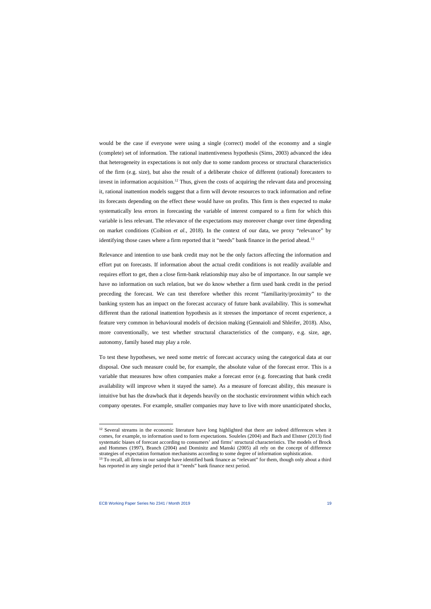would be the case if everyone were using a single (correct) model of the economy and a single (complete) set of information. The rational inattentiveness hypothesis (Sims, 2003) advanced the idea that heterogeneity in expectations is not only due to some random process or structural characteristics of the firm (e.g. size), but also the result of a deliberate choice of different (rational) forecasters to invest in information acquisition.<sup>[12](#page-19-0)</sup> Thus, given the costs of acquiring the relevant data and processing it, rational inattention models suggest that a firm will devote resources to track information and refine its forecasts depending on the effect these would have on profits. This firm is then expected to make systematically less errors in forecasting the variable of interest compared to a firm for which this variable is less relevant. The relevance of the expectations may moreover change over time depending on market conditions (Coibion *et al.*, 2018). In the context of our data, we proxy "relevance" by identifying those cases where a firm reported that it "needs" bank finance in the period ahead.<sup>[13](#page-19-1)</sup>

Relevance and intention to use bank credit may not be the only factors affecting the information and effort put on forecasts. If information about the actual credit conditions is not readily available and requires effort to get, then a close firm-bank relationship may also be of importance. In our sample we have no information on such relation, but we do know whether a firm used bank credit in the period preceding the forecast. We can test therefore whether this recent "familiarity/proximity" to the banking system has an impact on the forecast accuracy of future bank availability. This is somewhat different than the rational inattention hypothesis as it stresses the importance of recent experience, a feature very common in behavioural models of decision making (Gennaioli and Shleifer, 2018). Also, more conventionally, we test whether structural characteristics of the company, e.g. size, age, autonomy, family based may play a role.

To test these hypotheses, we need some metric of forecast accuracy using the categorical data at our disposal. One such measure could be, for example, the absolute value of the forecast error. This is a variable that measures how often companies make a forecast error (e.g. forecasting that bank credit availability will improve when it stayed the same). As a measure of forecast ability, this measure is intuitive but has the drawback that it depends heavily on the stochastic environment within which each company operates. For example, smaller companies may have to live with more unanticipated shocks,

<sup>&</sup>lt;sup>12</sup> Several streams in the economic literature have long highlighted that there are indeed differences when it comes, for example, to information used to form expectations. Souleles (2004) and Bach and Elstner (2013) find systematic biases of forecast according to consumers' and firms' structural characteristics. The models of Brock and Hommes (1997), Branch (2004) and Dominitz and Manski (2005) all rely on the concept of difference strategies of expectation formation mechanisms according to some degree of information sophistication.

<span id="page-19-1"></span><span id="page-19-0"></span><sup>&</sup>lt;sup>13</sup> To recall, all firms in our sample have identified bank finance as "relevant" for them, though only about a third has reported in any single period that it "needs" bank finance next period.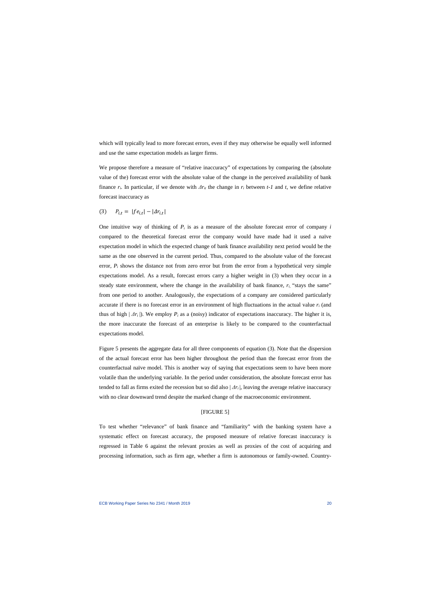which will typically lead to more forecast errors, even if they may otherwise be equally well informed and use the same expectation models as larger firms.

We propose therefore a measure of "relative inaccuracy" of expectations by comparing the (absolute value of the) forecast error with the absolute value of the change in the perceived availability of bank finance  $r_i$ . In particular, if we denote with  $\Delta r_i$  the change in  $r_i$  between *t-1* and *t*, we define relative forecast inaccuracy as

(3) 
$$
P_{i,t} = |f e_{i,t}| - |\Delta r_{i,t}|
$$

One intuitive way of thinking of  $P_i$  is as a measure of the absolute forecast error of company  $i$ compared to the theoretical forecast error the company would have made had it used a naïve expectation model in which the expected change of bank finance availability next period would be the same as the one observed in the current period. Thus, compared to the absolute value of the forecast error,  $P_i$  shows the distance not from zero error but from the error from a hypothetical very simple expectations model. As a result, forecast errors carry a higher weight in (3) when they occur in a steady state environment, where the change in the availability of bank finance,  $r_i$ , "stays the same" from one period to another. Analogously, the expectations of a company are considered particularly accurate if there is no forecast error in an environment of high fluctuations in the actual value  $r_i$  (and thus of high  $| \Delta r_i |$ ). We employ  $P_i$  as a (noisy) indicator of expectations inaccuracy. The higher it is, the more inaccurate the forecast of an enterprise is likely to be compared to the counterfactual expectations model.

Figure 5 presents the aggregate data for all three components of equation (3). Note that the dispersion of the actual forecast error has been higher throughout the period than the forecast error from the counterfactual naïve model. This is another way of saying that expectations seem to have been more volatile than the underlying variable. In the period under consideration, the absolute forecast error has tended to fall as firms exited the recession but so did also  $|\Delta r_i|$ , leaving the average relative inaccuracy with no clear downward trend despite the marked change of the macroeconomic environment.

## [FIGURE 5]

To test whether "relevance" of bank finance and "familiarity" with the banking system have a systematic effect on forecast accuracy, the proposed measure of relative forecast inaccuracy is regressed in Table 6 against the relevant proxies as well as proxies of the cost of acquiring and processing information, such as firm age, whether a firm is autonomous or family-owned. Country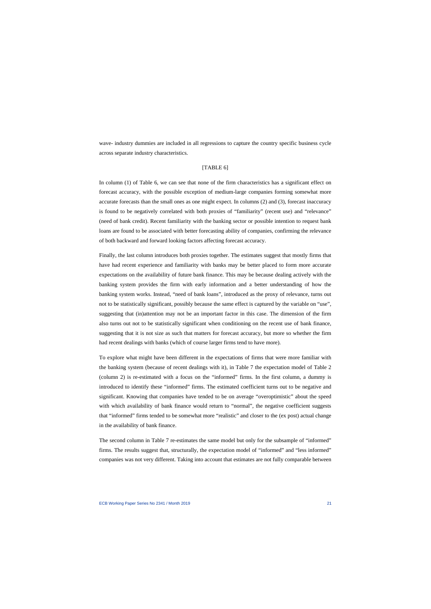wave- industry dummies are included in all regressions to capture the country specific business cycle across separate industry characteristics.

#### [TABLE 6]

In column (1) of Table 6, we can see that none of the firm characteristics has a significant effect on forecast accuracy, with the possible exception of medium-large companies forming somewhat more accurate forecasts than the small ones as one might expect. In columns (2) and (3), forecast inaccuracy is found to be negatively correlated with both proxies of "familiarity" (recent use) and "relevance" (need of bank credit). Recent familiarity with the banking sector or possible intention to request bank loans are found to be associated with better forecasting ability of companies, confirming the relevance of both backward and forward looking factors affecting forecast accuracy.

Finally, the last column introduces both proxies together. The estimates suggest that mostly firms that have had recent experience and familiarity with banks may be better placed to form more accurate expectations on the availability of future bank finance. This may be because dealing actively with the banking system provides the firm with early information and a better understanding of how the banking system works. Instead, "need of bank loans", introduced as the proxy of relevance, turns out not to be statistically significant, possibly because the same effect is captured by the variable on "use", suggesting that (in)attention may not be an important factor in this case. The dimension of the firm also turns out not to be statistically significant when conditioning on the recent use of bank finance, suggesting that it is not size as such that matters for forecast accuracy, but more so whether the firm had recent dealings with banks (which of course larger firms tend to have more).

To explore what might have been different in the expectations of firms that were more familiar with the banking system (because of recent dealings with it), in Table 7 the expectation model of Table 2 (column 2) is re-estimated with a focus on the "informed" firms. In the first column, a dummy is introduced to identify these "informed" firms. The estimated coefficient turns out to be negative and significant. Knowing that companies have tended to be on average "overoptimistic" about the speed with which availability of bank finance would return to "normal", the negative coefficient suggests that "informed" firms tended to be somewhat more "realistic" and closer to the (ex post) actual change in the availability of bank finance.

The second column in Table 7 re-estimates the same model but only for the subsample of "informed" firms. The results suggest that, structurally, the expectation model of "informed" and "less informed" companies was not very different. Taking into account that estimates are not fully comparable between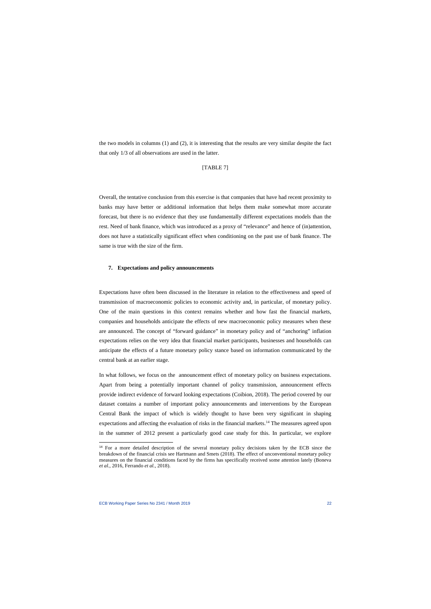the two models in columns (1) and (2), it is interesting that the results are very similar despite the fact that only 1/3 of all observations are used in the latter.

#### [TABLE 7]

Overall, the tentative conclusion from this exercise is that companies that have had recent proximity to banks may have better or additional information that helps them make somewhat more accurate forecast, but there is no evidence that they use fundamentally different expectations models than the rest. Need of bank finance, which was introduced as a proxy of "relevance" and hence of (in)attention, does not have a statistically significant effect when conditioning on the past use of bank finance. The same is true with the size of the firm.

#### **7. Expectations and policy announcements**

Expectations have often been discussed in the literature in relation to the effectiveness and speed of transmission of macroeconomic policies to economic activity and, in particular, of monetary policy. One of the main questions in this context remains whether and how fast the financial markets, companies and households anticipate the effects of new macroeconomic policy measures when these are announced. The concept of "forward guidance" in monetary policy and of "anchoring" inflation expectations relies on the very idea that financial market participants, businesses and households can anticipate the effects of a future monetary policy stance based on information communicated by the central bank at an earlier stage.

In what follows, we focus on the announcement effect of monetary policy on business expectations. Apart from being a potentially important channel of policy transmission, announcement effects provide indirect evidence of forward looking expectations (Coibion, 2018). The period covered by our dataset contains a number of important policy announcements and interventions by the European Central Bank the impact of which is widely thought to have been very significant in shaping expectations and affecting the evaluation of risks in the financial markets.[14](#page-22-0) The measures agreed upon in the summer of 2012 present a particularly good case study for this. In particular, we explore

<span id="page-22-0"></span><sup>&</sup>lt;sup>14</sup> For a more detailed description of the several monetary policy decisions taken by the ECB since the breakdown of the financial crisis see Hartmann and Smets (2018). The effect of unconventional monetary policy measures on the financial conditions faced by the firms has specifically received some attention lately (Boneva *et al.*, 2016, Ferrando *et al.*, 2018).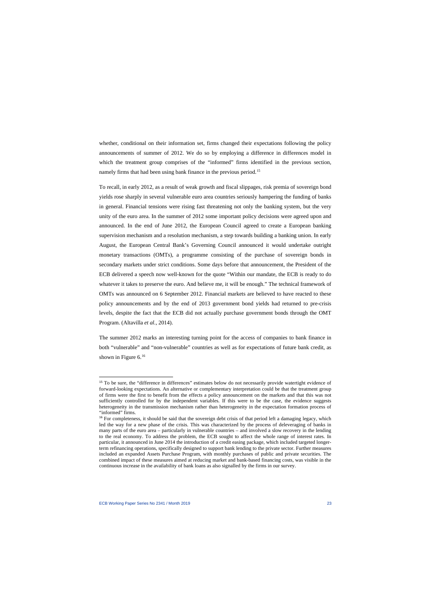whether, conditional on their information set, firms changed their expectations following the policy announcements of summer of 2012. We do so by employing a difference in differences model in which the treatment group comprises of the "informed" firms identified in the previous section, namely firms that had been using bank finance in the previous period. [15](#page-23-0)

To recall, in early 2012, as a result of weak growth and fiscal slippages, risk premia of sovereign bond yields rose sharply in several vulnerable euro area countries seriously hampering the funding of banks in general. Financial tensions were rising fast threatening not only the banking system, but the very unity of the euro area. In the summer of 2012 some important policy decisions were agreed upon and announced. In the end of June 2012, the European Council agreed to create a European banking supervision mechanism and a resolution mechanism, a step towards building a banking union. In early August, the European Central Bank's Governing Council announced it would undertake outright monetary transactions (OMTs), a programme consisting of the purchase of sovereign bonds in secondary markets under strict conditions. Some days before that announcement, the President of the ECB delivered a speech now well-known for the quote "Within our mandate, the ECB is ready to do whatever it takes to preserve the euro. And believe me, it will be enough." The technical framework of OMTs was announced on 6 September 2012. Financial markets are believed to have reacted to these policy announcements and by the end of 2013 government bond yields had returned to pre-crisis levels, despite the fact that the ECB did not actually purchase government bonds through the OMT Program. (Altavilla *et al.*, 2014).

The summer 2012 marks an interesting turning point for the access of companies to bank finance in both "vulnerable" and "non-vulnerable" countries as well as for expectations of future bank credit, as shown in Figure 6.<sup>[16](#page-23-1)</sup>

<sup>&</sup>lt;sup>15</sup> To be sure, the "difference in differences" estimates below do not necessarily provide watertight evidence of forward-looking expectations. An alternative or complementary interpretation could be that the treatment group of firms were the first to benefit from the effects a policy announcement on the markets and that this was not sufficiently controlled for by the independent variables. If this were to be the case, the evidence suggests heterogeneity in the transmission mechanism rather than heterogeneity in the expectation formation process of "informed" firms.

<span id="page-23-1"></span><span id="page-23-0"></span><sup>&</sup>lt;sup>16</sup> For completeness, it should be said that the sovereign debt crisis of that period left a damaging legacy, which led the way for a new phase of the crisis. This was characterized by the process of deleveraging of banks in many parts of the euro area – particularly in vulnerable countries – and involved a slow recovery in the lending to the real economy. To address the problem, the ECB sought to affect the whole range of interest rates. In particular, it announced in June 2014 the introduction of a credit easing package, which included targeted longerterm refinancing operations, specifically designed to support bank lending to the private sector. Further measures included an expanded Assets Purchase Program, with monthly purchases of public and private securities. The combined impact of these measures aimed at reducing market and bank-based financing costs, was visible in the continuous increase in the availability of bank loans as also signalled by the firms in our survey.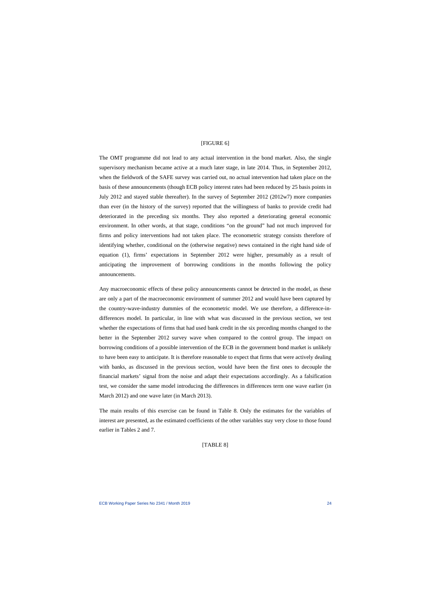### [FIGURE 6]

The OMT programme did not lead to any actual intervention in the bond market. Also, the single supervisory mechanism became active at a much later stage, in late 2014. Thus, in September 2012, when the fieldwork of the SAFE survey was carried out, no actual intervention had taken place on the basis of these announcements (though ECB policy interest rates had been reduced by 25 basis points in July 2012 and stayed stable thereafter). In the survey of September 2012 (2012w7) more companies than ever (in the history of the survey) reported that the willingness of banks to provide credit had deteriorated in the preceding six months. They also reported a deteriorating general economic environment. In other words, at that stage, conditions "on the ground" had not much improved for firms and policy interventions had not taken place. The econometric strategy consists therefore of identifying whether, conditional on the (otherwise negative) news contained in the right hand side of equation (1), firms' expectations in September 2012 were higher, presumably as a result of anticipating the improvement of borrowing conditions in the months following the policy announcements.

Any macroeconomic effects of these policy announcements cannot be detected in the model, as these are only a part of the macroeconomic environment of summer 2012 and would have been captured by the country-wave-industry dummies of the econometric model. We use therefore, a difference-indifferences model. In particular, in line with what was discussed in the previous section, we test whether the expectations of firms that had used bank credit in the six preceding months changed to the better in the September 2012 survey wave when compared to the control group. The impact on borrowing conditions of a possible intervention of the ECB in the government bond market is unlikely to have been easy to anticipate. It is therefore reasonable to expect that firms that were actively dealing with banks, as discussed in the previous section, would have been the first ones to decouple the financial markets' signal from the noise and adapt their expectations accordingly. As a falsification test, we consider the same model introducing the differences in differences term one wave earlier (in March 2012) and one wave later (in March 2013).

The main results of this exercise can be found in Table 8. Only the estimates for the variables of interest are presented, as the estimated coefficients of the other variables stay very close to those found earlier in Tables 2 and 7.

#### [TABLE 8]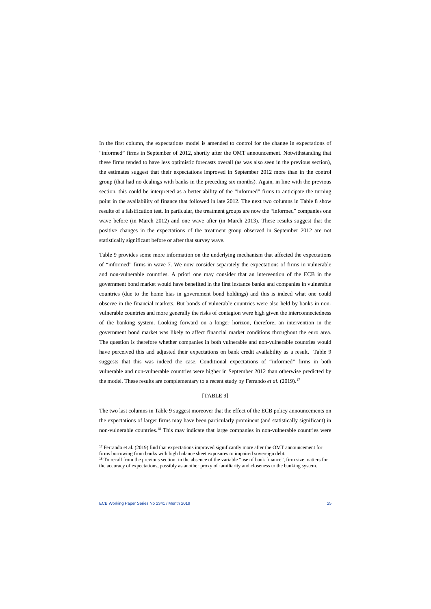In the first column, the expectations model is amended to control for the change in expectations of "informed" firms in September of 2012, shortly after the OMT announcement. Notwithstanding that these firms tended to have less optimistic forecasts overall (as was also seen in the previous section), the estimates suggest that their expectations improved in September 2012 more than in the control group (that had no dealings with banks in the preceding six months). Again, in line with the previous section, this could be interpreted as a better ability of the "informed" firms to anticipate the turning point in the availability of finance that followed in late 2012. The next two columns in Table 8 show results of a falsification test. In particular, the treatment groups are now the "informed" companies one wave before (in March 2012) and one wave after (in March 2013). These results suggest that the positive changes in the expectations of the treatment group observed in September 2012 are not statistically significant before or after that survey wave.

Table 9 provides some more information on the underlying mechanism that affected the expectations of "informed" firms in wave 7. We now consider separately the expectations of firms in vulnerable and non-vulnerable countries. A priori one may consider that an intervention of the ECB in the government bond market would have benefited in the first instance banks and companies in vulnerable countries (due to the home bias in government bond holdings) and this is indeed what one could observe in the financial markets. But bonds of vulnerable countries were also held by banks in nonvulnerable countries and more generally the risks of contagion were high given the interconnectedness of the banking system. Looking forward on a longer horizon, therefore, an intervention in the government bond market was likely to affect financial market conditions throughout the euro area. The question is therefore whether companies in both vulnerable and non-vulnerable countries would have perceived this and adjusted their expectations on bank credit availability as a result. Table 9 suggests that this was indeed the case. Conditional expectations of "informed" firms in both vulnerable and non-vulnerable countries were higher in September 2012 than otherwise predicted by the model. These results are complementary to a recent study by Ferrando *et al.*  $(2019)$ .<sup>[17](#page-25-0)</sup>

# [TABLE 9]

The two last columns in Table 9 suggest moreover that the effect of the ECB policy announcements on the expectations of larger firms may have been particularly prominent (and statistically significant) in non-vulnerable countries[.18](#page-25-1) This may indicate that large companies in non-vulnerable countries were

<sup>&</sup>lt;sup>17</sup> Ferrando et al. (2019) find that expectations improved significantly more after the OMT announcement for firms borrowing from banks with high balance sheet exposures to impaired sovereign debt.

<span id="page-25-1"></span><span id="page-25-0"></span><sup>&</sup>lt;sup>18</sup> To recall from the previous section, in the absence of the variable "use of bank finance", firm size matters for the accuracy of expectations, possibly as another proxy of familiarity and closeness to the banking system.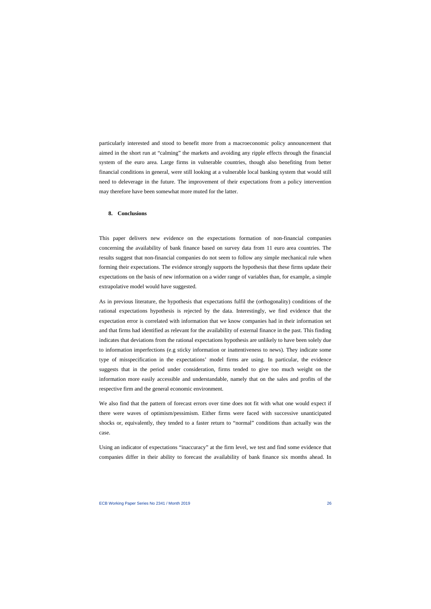particularly interested and stood to benefit more from a macroeconomic policy announcement that aimed in the short run at "calming" the markets and avoiding any ripple effects through the financial system of the euro area. Large firms in vulnerable countries, though also benefiting from better financial conditions in general, were still looking at a vulnerable local banking system that would still need to deleverage in the future. The improvement of their expectations from a policy intervention may therefore have been somewhat more muted for the latter.

#### **8. Conclusions**

This paper delivers new evidence on the expectations formation of non-financial companies concerning the availability of bank finance based on survey data from 11 euro area countries. The results suggest that non-financial companies do not seem to follow any simple mechanical rule when forming their expectations. The evidence strongly supports the hypothesis that these firms update their expectations on the basis of new information on a wider range of variables than, for example, a simple extrapolative model would have suggested.

As in previous literature, the hypothesis that expectations fulfil the (orthogonality) conditions of the rational expectations hypothesis is rejected by the data. Interestingly, we find evidence that the expectation error is correlated with information that we know companies had in their information set and that firms had identified as relevant for the availability of external finance in the past. This finding indicates that deviations from the rational expectations hypothesis are unlikely to have been solely due to information imperfections (e.g sticky information or inattentiveness to news). They indicate some type of misspecification in the expectations' model firms are using. In particular, the evidence suggests that in the period under consideration, firms tended to give too much weight on the information more easily accessible and understandable, namely that on the sales and profits of the respective firm and the general economic environment.

We also find that the pattern of forecast errors over time does not fit with what one would expect if there were waves of optimism/pessimism. Either firms were faced with successive unanticipated shocks or, equivalently, they tended to a faster return to "normal" conditions than actually was the case.

Using an indicator of expectations "inaccuracy" at the firm level, we test and find some evidence that companies differ in their ability to forecast the availability of bank finance six months ahead. In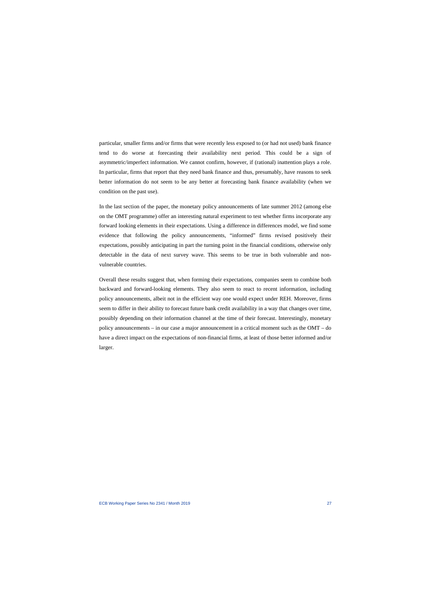particular, smaller firms and/or firms that were recently less exposed to (or had not used) bank finance tend to do worse at forecasting their availability next period. This could be a sign of asymmetric/imperfect information. We cannot confirm, however, if (rational) inattention plays a role. In particular, firms that report that they need bank finance and thus, presumably, have reasons to seek better information do not seem to be any better at forecasting bank finance availability (when we condition on the past use).

In the last section of the paper, the monetary policy announcements of late summer 2012 (among else on the OMT programme) offer an interesting natural experiment to test whether firms incorporate any forward looking elements in their expectations. Using a difference in differences model, we find some evidence that following the policy announcements, "informed" firms revised positively their expectations, possibly anticipating in part the turning point in the financial conditions, otherwise only detectable in the data of next survey wave. This seems to be true in both vulnerable and nonvulnerable countries.

Overall these results suggest that, when forming their expectations, companies seem to combine both backward and forward-looking elements. They also seem to react to recent information, including policy announcements, albeit not in the efficient way one would expect under REH. Moreover, firms seem to differ in their ability to forecast future bank credit availability in a way that changes over time, possibly depending on their information channel at the time of their forecast. Interestingly, monetary policy announcements – in our case a major announcement in a critical moment such as the OMT – do have a direct impact on the expectations of non-financial firms, at least of those better informed and/or larger.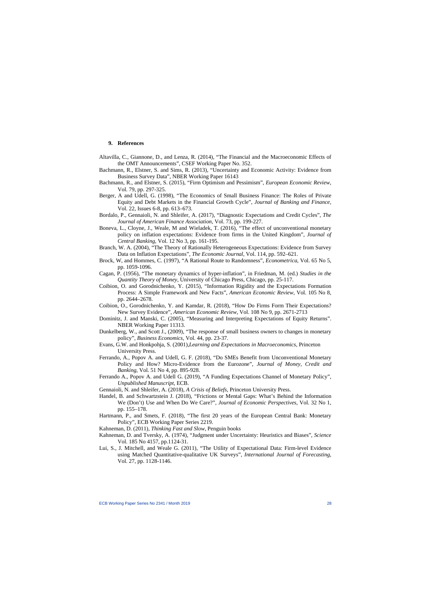#### **9. References**

- Altavilla, C., Giannone, D., and Lenza, R. (2014), "The Financial and the Macroeconomic Effects of the OMT Announcements", CSEF Working Paper No. 352.
- Bachmann, R., Elstner, S. and Sims, R. (2013), "Uncertainty and Economic Activity: Evidence from Business Survey Data", NBER Working Paper 16143
- Bachmann, R., and Elstner, S. (2015), "Firm Optimism and Pessimism", *European Economic Review*, Vol. 79, pp. 297-325.
- Berger, A and Udell, G. (1998), "The Economics of Small Business Finance: The Roles of Private Equity and Debt Markets in the Financial Growth Cycle", *Journal of Banking and Finance,* Vol. 22, Issues 6-8, pp. 613–673.
- Bordalo, P., Gennaioli, N. and Shleifer, A. (2017), "Diagnostic Expectations and Credit Cycles", *The Journal of American Finance Association,* Vol. 73, pp. 199-227.
- Boneva, L., Cloyne, J., Weale, M and Wieladek, T. (2016), ["The effect of unconventional monetary](https://www.econstor.eu/bitstream/10419/173461/1/extmpcpaper0047.pdf)  [policy on inflation expectations: Evidence from firms in the United Kingdom"](https://www.econstor.eu/bitstream/10419/173461/1/extmpcpaper0047.pdf), *Journal of Central Banking*, Vol. 12 No 3, pp. 161-195.
- Branch, W. A. (2004), "The Theory of Rationally Heterogeneous Expectations: Evidence from Survey Data on Inflation Expectations", *The Economic Journal*, Vol. 114, pp. 592–621.
- Brock, W, and Hommes, C. (1997), "A Rational Route to Randomness", *Econometrica*, Vol. 65 No 5, pp. 1059-1096.
- Cagan, P. (1956), "The monetary dynamics of hyper-inflation", in Friedman, M. (ed.) *Studies in the Quantity Theory of Money*, University of Chicago Press, Chicago, pp. 25-117.
- Coibion, O. and Gorodnichenko, Y. (2015), "Information Rigidity and the Expectations Formation Process: A Simple Framework and New Facts", *American Economic Review*, Vol. 105 No 8, pp. 2644–2678.
- Coibion, O., Gorodnichenko, Y. and Kamdar, R. (2018), "How Do Firms Form Their Expectations? New Survey Evidence", *American Economic Review*, Vol. [108 No 9, p](https://www.aeaweb.org/issues/519)p. 2671-2713
- Dominitz, J. and Manski, C. (2005), "Measuring and Interpreting Expectations of Equity Returns". NBER Working Paper 11313.
- Dunkelberg, W., and Scott J., (2009), "The response of small business owners to changes in monetary policy", *Business Economics*, Vol. 44, pp. 23-37.
- Evans, G.W. and Honkpohja, S. (2001),*Learning and Expectations in Macroeconomics*, Princeton University Press.
- Ferrando, A., Popov A. and Udell, G. F. (2018), "Do SMEs Benefit from Unconventional Monetary Policy and How? Micro-Evidence from the Eurozone", *Journal of Money, Credit and Banking*, Vol. 51 No 4, pp. 895-928.
- Ferrando A., Popov A. and Udell G. (2019), "A Funding Expectations Channel of Monetary Policy", *Unpublished Manuscript,* ECB.
- Gennaioli, N. and Shleifer, A. (2018), *A Crisis of Beliefs*, Princeton University Press.
- Handel, B. and Schwartzstein J. (2018), "Frictions or Mental Gaps: What's Behind the Information We (Don't) Use and When Do We Care?", *Journal of Economic Perspectives*, Vol. 32 No 1, pp. 155–178.
- Hartmann, P., and Smets, F. (2018), "The first 20 years of the European Central Bank: Monetary Policy", ECB Working Paper Series 2219.
- Kahneman, D. (2011), *Thinking Fast and Slow,* Penguin books
- Kahneman, D. and Tversky, A. (1974), "Judgment under Uncertainty: Heuristics and Biases", *Science* Vol. 185 No 4157, pp.1124-31.
- Lui, S., J. Mitchell, and Weale G. (2011), "The Utility of Expectational Data: Firm-level Evidence using Matched Quantitative-qualitative UK Surveys", *International Journal of Forecasting*, Vol. 27, pp. 1128-1146.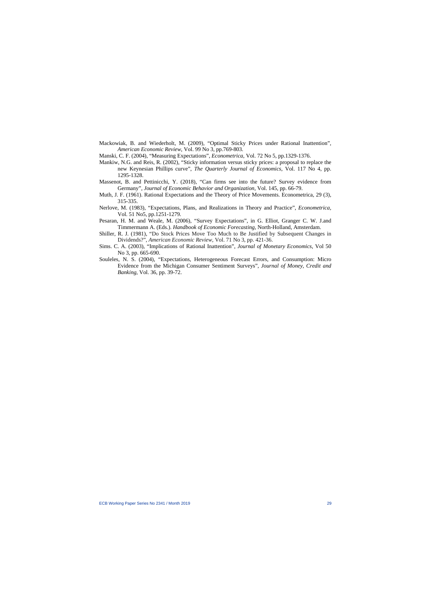- Mackowiak, B. and Wiederholt, M. (2009), "Optimal Sticky Prices under Rational Inattention", *American Economic Review*, Vol. 99 No 3, pp.769-803.
- Manski, C. F. (2004), "Measuring Expectations", *Econometrica*, Vol. 72 No 5, pp.1329-1376.
- Mankiw, N.G. and Reis, R. (2002), "Sticky information versus sticky prices: a proposal to replace the new Keynesian Phillips curve", *The Quarterly Journal of Economics*, Vol. 117 No 4, pp. 1295-1328.
- Massenot, B. and Pettinicchi, Y. (2018), "Can firms see into the future? Survey evidence from Germany", *Journal of Economic Behavior and Organization*, Vol. 145, pp. 66-79.
- Muth, J. F. (1961). Rational Expectations and the Theory of Price Movements. Econometrica, 29 (3), 315-335.
- Nerlove, M. (1983), "Expectations, Plans, and Realizations in Theory and Practice", *[Econometrica](https://www.researchgate.net/journal/1468-0262_Econometrica)*, Vol. 51 No5, pp.1251-1279.
- Pesaran, H. M. and Weale, M. (2006), "Survey Expectations", in G. Elliot, Granger C. W. J.and Timmermann A. (Eds.). *Handbook of Economic Forecasting*, North-Holland, Amsterdam.
- Shiller, R. J. (1981), "Do Stock Prices Move Too Much to Be Justified by Subsequent Changes in Dividends?", *American Economic Review*, Vol. 71 No 3, pp. 421-36.
- Sims. C. A. (2003), "Implications of Rational Inattention", *Journal of Monetary Economics*, Vol 50 No 3, pp. 665-690.
- Souleles, N. S. (2004), "Expectations, Heterogeneous Forecast Errors, and Consumption: Micro Evidence from the Michigan Consumer Sentiment Surveys", *Journal of Money, Credit and Banking*, Vol. 36, pp. 39-72.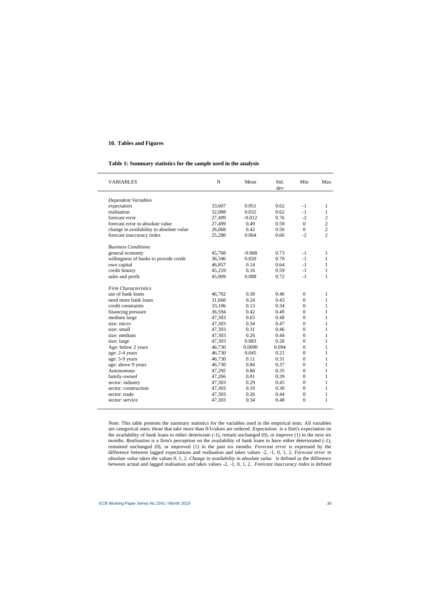#### **10. Tables and Figures**

#### **Table 1: Summary statistics for the sample used in the analysis**

| <b>VARIABLES</b>                         | N      | Mean     | Std.<br>dev | Min            | Max            |
|------------------------------------------|--------|----------|-------------|----------------|----------------|
| Dependent Variables                      |        |          |             |                |                |
| expectation                              | 33,607 | 0.051    | 0.62        | $-1$           | 1              |
| realisation                              | 32,088 | 0.032    | 0.62        | $-1$           | $\mathbf{1}$   |
| forecast error                           | 27,499 | $-0.012$ | 0.76        | $-2$           | $\overline{2}$ |
| forecast error in absolute value         | 27,499 | 0.49     | 0.59        | $\Omega$       | $\overline{2}$ |
| change in availability in absolute value | 26,068 | 0.42     | 0.56        | $\Omega$       | $\overline{2}$ |
| forecast inaccuracy index                | 25,280 | 0.064    | 0.66        | $-2$           | $\overline{2}$ |
| <b>Business Conditions</b>               |        |          |             |                |                |
| general economy                          | 45,768 | $-0.068$ | 0.73        | $-1$           | 1              |
| willingness of banks to provide credit   | 36,346 | 0.020    | 0.70        | $-1$           | $\mathbf{1}$   |
| own capital                              | 46,857 | 0.14     | 0.64        | $-1$           | 1              |
| credit history                           | 45,259 | 0.16     | 0.59        | $-1$           | $\mathbf{1}$   |
| sales and profit                         | 45,909 | 0.088    | 0.72        | $-1$           | 1              |
| <b>Firm Characteristics</b>              |        |          |             |                |                |
| use of bank loans                        | 46,702 | 0.30     | 0.46        | $\overline{0}$ | 1              |
| need more bank loans                     | 31,660 | 0.24     | 0.43        | $\overline{0}$ | 1              |
| credit constraints                       | 33,106 | 0.13     | 0.34        | $\Omega$       | 1              |
| financing pressure                       | 36,594 | 0.42     | 0.49        | $\overline{0}$ | 1              |
| medium large                             | 47,303 | 0.65     | 0.48        | $\Omega$       | 1              |
| size: micro                              | 47,303 | 0.34     | 0.47        | $\overline{0}$ | $\mathbf{1}$   |
| size: small                              | 47,303 | 0.31     | 0.46        | $\Omega$       | 1              |
| size: medium                             | 47,303 | 0.26     | 0.44        | $\Omega$       | 1              |
| size: large                              | 47,303 | 0.083    | 0.28        | $\Omega$       | 1              |
| Age: below 2 years                       | 46,730 | 0.0090   | 0.094       | $\Omega$       | 1              |
| age: 2-4 years                           | 46,730 | 0.045    | 0.21        | $\Omega$       | 1              |
| age: 5-9 years                           | 46,730 | 0.11     | 0.31        | $\Omega$       | 1              |
| age: above 9 years                       | 46,730 | 0.84     | 0.37        | $\overline{0}$ | 1              |
| Autonomous                               | 47,295 | 0.86     | 0.35        | $\Omega$       | 1              |
| family-owned                             | 47,266 | 0.81     | 0.39        | $\overline{0}$ | $\mathbf{1}$   |
| sector: industry                         | 47,303 | 0.29     | 0.45        | $\Omega$       | 1              |
| sector: construction                     | 47,303 | 0.10     | 0.30        | $\Omega$       | 1              |
| sector: trade                            | 47,303 | 0.26     | 0.44        | $\Omega$       | 1              |
| sector: service                          | 47,303 | 0.34     | 0.48        | $\theta$       | 1              |

Note: This table presents the summary statistics for the variables used in the empirical tests. All variables are categorical ones; those that take more than 0/1values are ordered. *Expectation* is a firm's expectation on the availability of bank loans to either deteriorate  $(-1)$ , remain unchanged  $(0)$ , or improve  $(1)$  in the next six months. *Realisation* is a firm's perception on the availability of bank loans to have either deteriorated (-1), remained unchanged (0), or improved (1) in the past six months. *Forecast error* is expressed by the difference between lagged expectations and realisation and takes values -2, -1, 0, 1, 2. *Forecast error in absolute value* takes the values 0, 1, 2. *Change in availability in absolute value* is defined as the difference between actual and lagged realisation and takes values -2, -1, 0, 1, 2. *Forecast inaccuracy index* is defined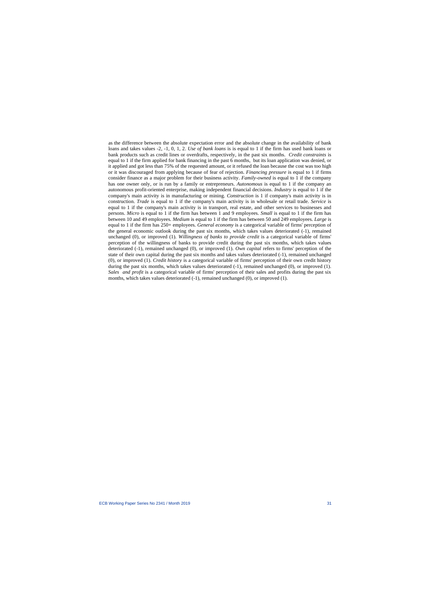as the difference between the absolute expectation error and the absolute change in the availability of bank loans and takes values -2, -1, 0, 1, 2. *Use of bank loans* is is equal to 1 if the firm has used bank loans or bank products such as credit lines or overdrafts, respectively, in the past six months. *Credit constraints* is equal to 1 if the firm applied for bank financing in the past 6 months, but its loan application was denied, or it applied and got less than 75% of the requested amount, or it refused the loan because the cost was too high or it was discouraged from applying because of fear of rejection. *Financing pressure* is equal to 1 if firms consider finance as a major problem for their business activity. *Family-owned* is equal to 1 if the company has one owner only, or is run by a family or entrepreneurs. *Autonomous* is equal to 1 if the company an autonomous profit-oriented enterprise, making independent financial decisions. *Industry* is equal to 1 if the company's main activity is in manufacturing or mining. *Construction* is 1 if company's main activity is in construction. *Trade* is equal to 1 if the company's main activity is in wholesale or retail trade. *Service* is equal to 1 if the company's main activity is in transport, real estate, and other services to businesses and persons. *Micro* is equal to 1 if the firm has between 1 and 9 employees. *Small* is equal to 1 if the firm has between 10 and 49 employees. *Medium* is equal to 1 if the firm has between 50 and 249 employees. *Large* is equal to 1 if the firm has 250+ employees. *General economy* is a categorical variable of firms' perception of the general economic outlook during the past six months, which takes values deteriorated (-1), remained unchanged (0), or improved (1). *Willingness of banks to provide credit* is a categorical variable of firms' perception of the willingness of banks to provide credit during the past six months, which takes values deteriorated (-1), remained unchanged (0), or improved (1). *Own capital* refers to firms' perception of the state of their own capital during the past six months and takes values deteriorated (-1), remained unchanged (0), or improved (1). *Credit history* is a categorical variable of firms' perception of their own credit history during the past six months, which takes values deteriorated (-1), remained unchanged (0), or improved (1). *Sales and profit* is a categorical variable of firms' perception of their sales and profits during the past six months, which takes values deteriorated (-1), remained unchanged (0), or improved (1).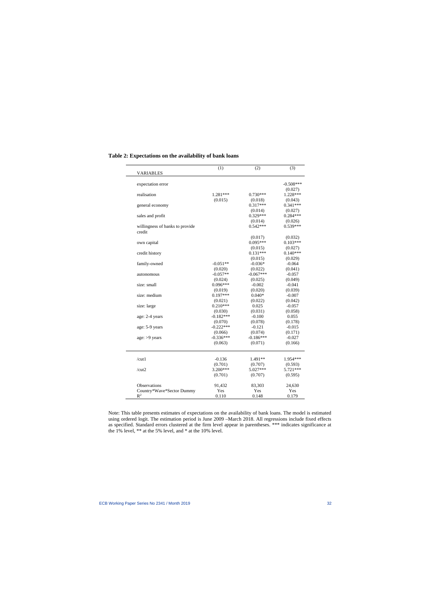| <b>VARIABLES</b>                          | (1)         | (2)         | (3)         |
|-------------------------------------------|-------------|-------------|-------------|
|                                           |             |             |             |
| expectation error                         |             |             | $-0.508***$ |
|                                           |             |             | (0.027)     |
| realisation                               | $1.281***$  | $0.730***$  | 1.228***    |
|                                           | (0.015)     | (0.018)     | (0.043)     |
| general economy                           |             | $0.317***$  | $0.341***$  |
|                                           |             | (0.014)     | (0.027)     |
| sales and profit                          |             | $0.329***$  | $0.284***$  |
|                                           |             | (0.014)     | (0.026)     |
| willingness of banks to provide<br>credit |             | $0.542***$  | $0.539***$  |
|                                           |             | (0.017)     | (0.032)     |
| own capital                               |             | $0.095***$  | $0.103***$  |
|                                           |             | (0.015)     | (0.027)     |
| credit history                            |             | $0.131***$  | $0.140***$  |
|                                           |             | (0.015)     | (0.029)     |
| family-owned                              | $-0.051**$  | $-0.036*$   | $-0.064$    |
|                                           | (0.020)     | (0.022)     | (0.041)     |
| autonomous                                | $-0.057**$  | $-0.067***$ | $-0.057$    |
|                                           | (0.024)     | (0.025)     | (0.049)     |
| size: small                               | $0.096***$  | $-0.002$    | $-0.041$    |
|                                           | (0.019)     | (0.020)     | (0.039)     |
| size: medium                              | $0.197***$  | $0.040*$    | $-0.007$    |
|                                           | (0.021)     | (0.022)     | (0.042)     |
| size: large                               | $0.210***$  | 0.025       | $-0.057$    |
|                                           | (0.030)     | (0.031)     | (0.058)     |
| age: 2-4 years                            | $-0.182***$ | $-0.100$    | 0.055       |
|                                           | (0.070)     | (0.078)     | (0.178)     |
| age: 5-9 years                            | $-0.222***$ | $-0.121$    | $-0.015$    |
|                                           | (0.066)     | (0.074)     | (0.171)     |
| age: >9 years                             | $-0.336***$ | $-0.186***$ | $-0.027$    |
|                                           | (0.063)     | (0.071)     | (0.166)     |
| /cut1                                     | $-0.136$    | 1.491**     | 1.954 ***   |
|                                           | (0.701)     | (0.707)     | (0.593)     |
| /cut2                                     | 3.200***    | 5.027***    | 5.721***    |
|                                           | (0.701)     | (0.707)     | (0.595)     |
| Observations                              | 91,432      | 83,303      | 24,630      |
| Country*Wave*Sector Dummy                 | Yes         | Yes         | Yes         |
| $R^2$                                     | 0.110       | 0.148       | 0.179       |

# **Table 2: Expectations on the availability of bank loans**

Note: This table presents estimates of expectations on the availability of bank loans. The model is estimated using ordered logit. The estimation period is June 2009 –March 2018. All regressions include fixed effects as specified. Standard errors clustered at the firm level appear in parentheses. \*\*\* indicates significance at the 1% level, \*\* at the 5% level, and \* at the 10% level.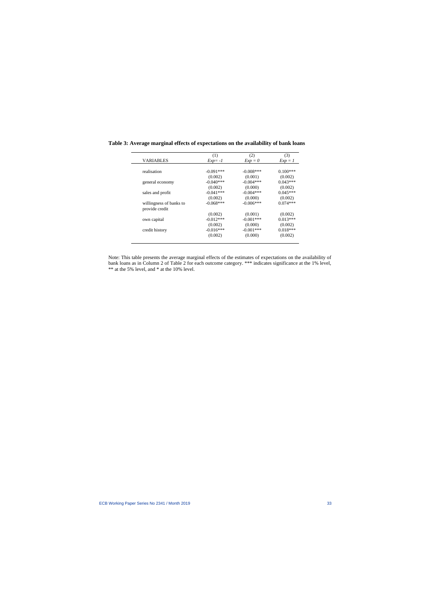|                         | (1)         | (2)          | (3)        |
|-------------------------|-------------|--------------|------------|
| VARIABLES               | $Exp = -1$  | $Exp = 0$    | $Exp = 1$  |
|                         |             |              |            |
| realisation             | $-0.091***$ | $-0.008$ *** | $0.100***$ |
|                         | (0.002)     | (0.001)      | (0.002)    |
| general economy         | $-0.040***$ | $-0.004***$  | $0.043***$ |
|                         | (0.002)     | (0.000)      | (0.002)    |
| sales and profit        | $-0.041***$ | $-0.004***$  | $0.045***$ |
|                         | (0.002)     | (0.000)      | (0.002)    |
| willingness of banks to | $-0.068***$ | $-0.006***$  | $0.074***$ |
| provide credit          |             |              |            |
|                         | (0.002)     | (0.001)      | (0.002)    |
| own capital             | $-0.012***$ | $-0.001***$  | $0.013***$ |
|                         | (0.002)     | (0.000)      | (0.002)    |
| credit history          | $-0.016***$ | $-0.001***$  | $0.018***$ |
|                         | (0.002)     | (0.000)      | (0.002)    |

**Table 3: Average marginal effects of expectations on the availability of bank loans** 

Note: This table presents the average marginal effects of the estimates of expectations on the availability of bank loans as in Column 2 of Table 2 for each outcome category. \*\*\* indicates significance at the 1% level, \*\* at the 5% level, and \* at the 10% level.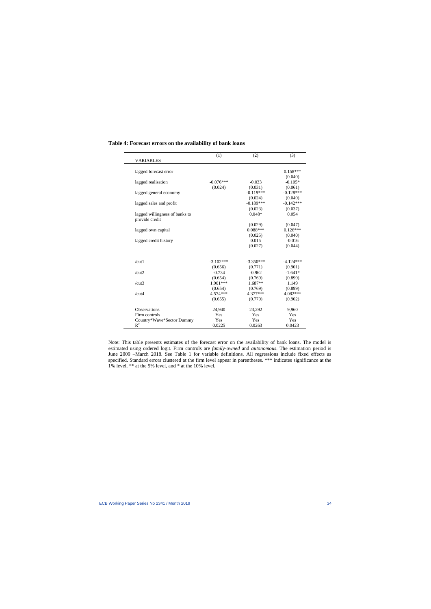|                                                  | (1)         | (2)         | (3)         |
|--------------------------------------------------|-------------|-------------|-------------|
| <b>VARIABLES</b>                                 |             |             |             |
| lagged forecast error                            |             |             | $0.158***$  |
|                                                  |             |             | (0.040)     |
| lagged realisation                               | $-0.076***$ | $-0.033$    | $-0.105*$   |
|                                                  | (0.024)     | (0.031)     | (0.061)     |
| lagged general economy                           |             | $-0.119***$ | $-0.128***$ |
|                                                  |             | (0.024)     | (0.040)     |
| lagged sales and profit                          |             | $-0.189***$ | $-0.142***$ |
|                                                  |             | (0.023)     | (0.037)     |
| lagged willingness of banks to<br>provide credit |             | $0.048*$    | 0.054       |
|                                                  |             | (0.029)     | (0.047)     |
| lagged own capital                               |             | $0.088***$  | $0.126***$  |
|                                                  |             | (0.025)     | (0.040)     |
| lagged credit history                            |             | 0.015       | $-0.016$    |
|                                                  |             | (0.027)     | (0.044)     |
| /cut1                                            | $-3.102***$ | $-3.350***$ | $-4.124***$ |
|                                                  | (0.656)     | (0.771)     | (0.901)     |
| /cut2                                            | $-0.734$    | $-0.962$    | $-1.641*$   |
|                                                  | (0.654)     | (0.769)     | (0.899)     |
| /cut3                                            | $1.901***$  | $1.687**$   | 1.149       |
|                                                  | (0.654)     | (0.769)     | (0.899)     |
| /cut4                                            | 4.574 ***   | 4.377***    | 4.082***    |
|                                                  | (0.655)     | (0.770)     | (0.902)     |
| Observations                                     | 24,940      | 23,292      | 9,960       |
| Firm controls                                    | Yes         | Yes         | Yes         |
| Country*Wave*Sector Dummy                        | Yes         | Yes         | Yes         |
| $\mathbb{R}^2$                                   | 0.0225      | 0.0263      | 0.0423      |

#### **Table 4: Forecast errors on the availability of bank loans**

Note: This table presents estimates of the forecast error on the availability of bank loans. The model is estimated using ordered logit. Firm controls are *family-owned* and *autonomous*. The estimation period is June 2009 –March 2018. See Table 1 for variable definitions. All regressions include fixed effects as specified. Standard errors clustered at the firm level appear in parentheses. \*\*\* indicates significance at the 1% level, \*\* at the 5% level, and \* at the 10% level.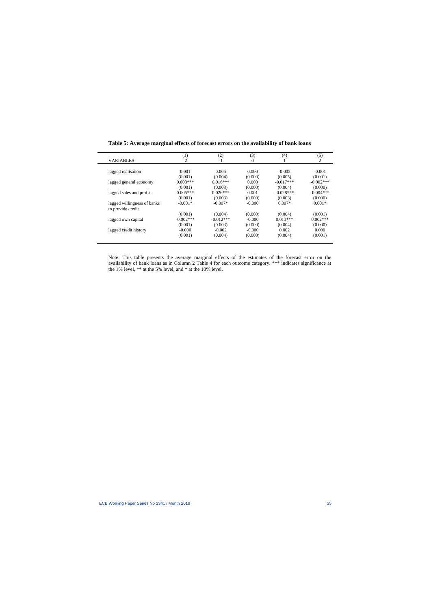|                             | (1)          | (2)         | (3)      | (4)         | (5)          |
|-----------------------------|--------------|-------------|----------|-------------|--------------|
| <b>VARIABLES</b>            | $-2$         | $-1$        | 0        |             | 2            |
|                             |              |             |          |             |              |
| lagged realisation          | 0.001        | 0.005       | 0.000    | $-0.005$    | $-0.001$     |
|                             | (0.001)      | (0.004)     | (0.000)  | (0.005)     | (0.001)      |
| lagged general economy      | $0.003***$   | $0.016***$  | 0.000    | $-0.017***$ | $-0.002$ *** |
|                             | (0.001)      | (0.003)     | (0.000)  | (0.004)     | (0.000)      |
| lagged sales and profit     | $0.005***$   | $0.026***$  | 0.001    | $-0.028***$ | $-0.004***$  |
|                             | (0.001)      | (0.003)     | (0.000)  | (0.003)     | (0.000)      |
| lagged willingness of banks | $-0.001*$    | $-0.007*$   | $-0.000$ | $0.007*$    | $0.001*$     |
| to provide credit           |              |             |          |             |              |
|                             | (0.001)      | (0.004)     | (0.000)  | (0.004)     | (0.001)      |
| lagged own capital          | $-0.002$ *** | $-0.012***$ | $-0.000$ | $0.013***$  | $0.002***$   |
|                             | (0.001)      | (0.003)     | (0.000)  | (0.004)     | (0.000)      |
| lagged credit history       | $-0.000$     | $-0.002$    | $-0.000$ | 0.002       | 0.000        |
|                             | (0.001)      | (0.004)     | (0.000)  | (0.004)     | (0.001)      |
|                             |              |             |          |             |              |

# **Table 5: Average marginal effects of forecast errors on the availability of bank loans**

Note: This table presents the average marginal effects of the estimates of the forecast error on the availability of bank loans as in Column 2 Table 4 for each outcome category. \*\*\* indicates significance at the 1% level, \*\* at the 5% level, and \* at the 10% level.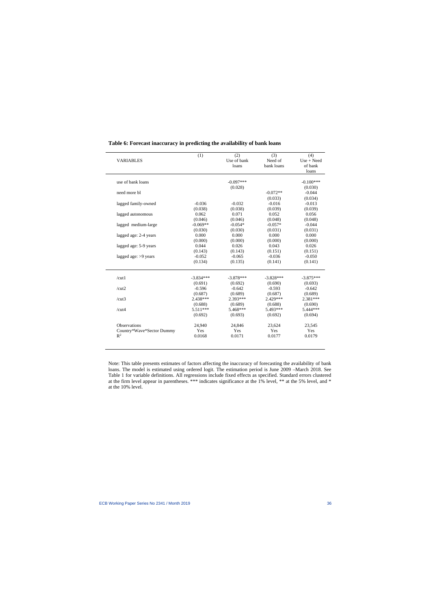|                           | (1)         | (2)         | (3)         | (4)         |
|---------------------------|-------------|-------------|-------------|-------------|
| <b>VARIABLES</b>          |             | Use of bank | Need of     | Use + Need  |
|                           |             | loans       | bank loans  | of bank     |
|                           |             |             |             | loans       |
| use of bank loans         |             | $-0.097***$ |             | $-0.100***$ |
|                           |             | (0.028)     |             | (0.030)     |
| need more bl              |             |             | $-0.072**$  | $-0.044$    |
|                           |             |             | (0.033)     | (0.034)     |
| lagged family-owned       | $-0.036$    | $-0.032$    | $-0.016$    | $-0.013$    |
|                           | (0.038)     | (0.038)     | (0.039)     | (0.039)     |
| lagged autonomous         | 0.062       | 0.071       | 0.052       | 0.056       |
|                           | (0.046)     | (0.046)     | (0.048)     | (0.048)     |
| lagged medium-large       | $-0.069**$  | $-0.054*$   | $-0.057*$   | $-0.044$    |
|                           | (0.030)     | (0.030)     | (0.031)     | (0.031)     |
| lagged age: 2-4 years     | 0.000       | 0.000       | 0.000       | 0.000       |
|                           | (0.000)     | (0.000)     | (0.000)     | (0.000)     |
| lagged age: 5-9 years     | 0.044       | 0.026       | 0.043       | 0.026       |
|                           | (0.143)     | (0.143)     | (0.151)     | (0.151)     |
| lagged age: $>9$ years    | $-0.052$    | $-0.065$    | $-0.036$    | $-0.050$    |
|                           | (0.134)     | (0.135)     | (0.141)     | (0.141)     |
| /cut1                     | $-3.834***$ | $-3.878***$ | $-3.828***$ | $-3.875***$ |
|                           | (0.691)     | (0.692)     | (0.690)     | (0.693)     |
| /cut2                     | $-0.596$    | $-0.642$    | $-0.593$    | $-0.642$    |
|                           | (0.687)     | (0.689)     | (0.687)     | (0.689)     |
| /cut3                     | 2.438***    | 2.393 ***   | 2.429***    | 2.381***    |
|                           | (0.688)     | (0.689)     | (0.688)     | (0.690)     |
| /cut4                     | $5.511***$  | 5.468***    | 5.493***    | 5.444***    |
|                           | (0.692)     | (0.693)     | (0.692)     | (0.694)     |
| Observations              | 24,940      | 24,846      | 23,624      | 23,545      |
| Country*Wave*Sector Dummy | Yes         | Yes         | Yes         | Yes         |
| $\mathbb{R}^2$            | 0.0168      | 0.0171      | 0.0177      | 0.0179      |

# **Table 6: Forecast inaccuracy in predicting the availability of bank loans**

Note: This table presents estimates of factors affecting the inaccuracy of forecasting the availability of bank loans. The model is estimated using ordered logit. The estimation period is June 2009 –March 2018. See Table 1 for variable definitions. All regressions include fixed effects as specified. Standard errors clustered at the firm level appear in parentheses. \*\*\* indicates significance at the 1% level, \*\* at the 5% level, and \* at the 10% level.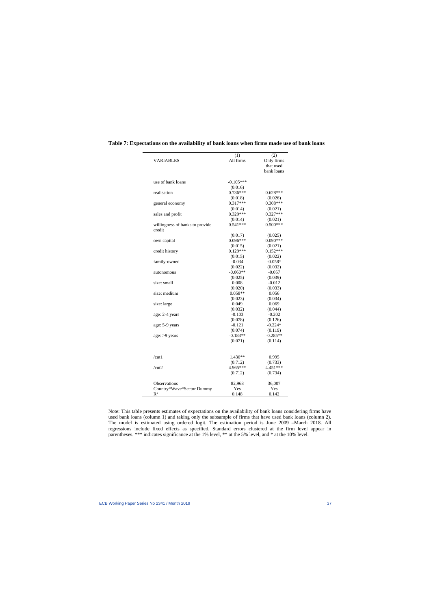|                                 | (1)              | (2)              |
|---------------------------------|------------------|------------------|
| <b>VARIABLES</b>                | All firms        | Only firms       |
|                                 |                  | that used        |
|                                 |                  | bank loans       |
|                                 |                  |                  |
| use of bank loans               | $-0.105***$      |                  |
|                                 | (0.016)          |                  |
| realisation                     | $0.736***$       | $0.628***$       |
|                                 | (0.018)          | (0.026)          |
| general economy                 | $0.317***$       | $0.308***$       |
|                                 | (0.014)          | (0.021)          |
| sales and profit                | $0.329***$       | $0.327***$       |
|                                 | (0.014)          | (0.021)          |
| willingness of banks to provide | $0.541***$       | $0.500***$       |
| credit                          |                  |                  |
|                                 | (0.017)          | (0.025)          |
| own capital                     | $0.096***$       | $0.090***$       |
|                                 | (0.015)          | (0.021)          |
| credit history                  | $0.129***$       | $0.152***$       |
|                                 | (0.015)          | (0.022)          |
| family-owned                    | $-0.034$         | $-0.058*$        |
|                                 | (0.022)          | (0.032)          |
| autonomous                      | $-0.060**$       | $-0.057$         |
|                                 | (0.025)          | (0.039)          |
| size: small                     | 0.008            | $-0.012$         |
|                                 | (0.020)          | (0.033)          |
| size: medium                    | $0.058**$        | 0.056            |
|                                 |                  |                  |
|                                 | (0.023)<br>0.049 | (0.034)<br>0.069 |
| size: large                     |                  |                  |
|                                 | (0.032)          | (0.044)          |
| age: 2-4 years                  | $-0.103$         | $-0.202$         |
|                                 | (0.078)          | (0.126)          |
| age: 5-9 years                  | $-0.121$         | $-0.224*$        |
|                                 | (0.074)          | (0.119)          |
| age: >9 years                   | $-0.183**$       | $-0.285**$       |
|                                 | (0.071)          | (0.114)          |
| /cut1                           | $1.430**$        | 0.995            |
|                                 | (0.712)          | (0.733)          |
| /cut2                           | 4.965***         | $4.451***$       |
|                                 | (0.712)          | (0.734)          |
| Observations                    | 82,968           | 36,007           |
| Country*Wave*Sector Dummy       | Yes              | Yes              |
| $\mathbb{R}^2$                  | 0.148            | 0.142            |

# **Table 7: Expectations on the availability of bank loans when firms made use of bank loans**

Note: This table presents estimates of expectations on the availability of bank loans considering firms have used bank loans (column 1) and taking only the subsample of firms that have used bank loans (column 2). The model is estimated using ordered logit. The estimation period is June 2009 –March 2018. All regressions include fixed effects as specified. Standard errors clustered at the firm level appear in parentheses. \*\*\* indicates significance at the 1% level, \*\* at the 5% level, and \* at the 10% level.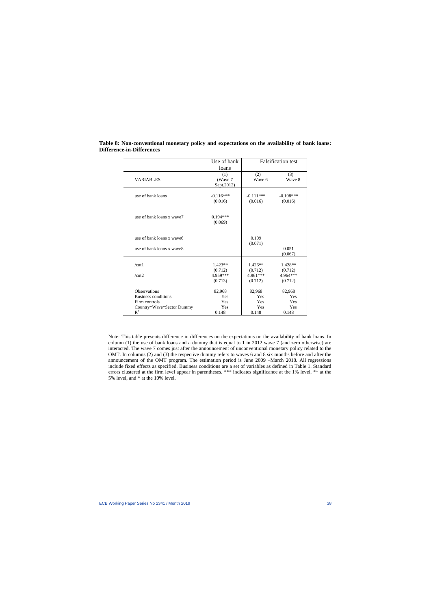|                           | Use of bank                  | <b>Falsification test</b> |                        |
|---------------------------|------------------------------|---------------------------|------------------------|
|                           | loans                        |                           |                        |
| <b>VARIABLES</b>          | (1)<br>(Wave 7<br>Sept.2012) | (2)<br>Wave 6             | (3)<br>Wave 8          |
| use of bank loans         | $-0.116***$<br>(0.016)       | $-0.111***$<br>(0.016)    | $-0.108***$<br>(0.016) |
| use of bank loans x wave7 | $0.194***$<br>(0.069)        |                           |                        |
| use of bank loans x wave6 |                              | 0.109<br>(0.071)          |                        |
| use of bank loans x wave8 |                              |                           | 0.051<br>(0.067)       |
| /cut1                     | $1.423**$<br>(0.712)         | $1.426**$<br>(0.712)      | $1.428**$<br>(0.712)   |
| /cut2                     | 4.959***<br>(0.713)          | 4.961***<br>(0.712)       | 4.964***<br>(0.712)    |
| <b>Observations</b>       | 82,968                       | 82,968                    | 82,968                 |
| Business conditions       | Yes                          | Yes                       | Yes                    |
| Firm controls             | Yes                          | Yes                       | Yes                    |
| Country*Wave*Sector Dummy | Yes                          | Yes                       | Yes                    |
| $R^2$                     | 0.148                        | 0.148                     | 0.148                  |

**Table 8: Non-conventional monetary policy and expectations on the availability of bank loans: Difference-in-Differences**

Note: This table presents difference in differences on the expectations on the availability of bank loans. In column (1) the use of bank loans and a dummy that is equal to 1 in 2012 wave 7 (and zero otherwise) are interacted. The wave 7 comes just after the announcement of unconventional monetary policy related to the OMT. In columns (2) and (3) the respective dummy refers to waves 6 and 8 six months before and after the announcement of the OMT program. The estimation period is June 2009 –March 2018. All regressions include fixed effects as specified. Business conditions are a set of variables as defined in Table 1. Standard errors clustered at the firm level appear in parentheses. \*\*\* indicates significance at the 1% level, \*\* at the 5% level, and \* at the 10% level.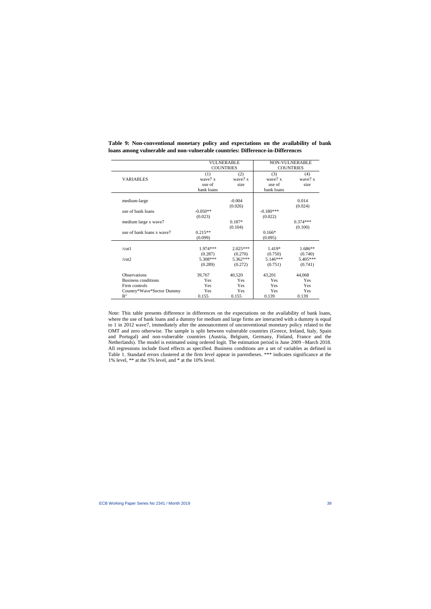|                           | <b>VULNERABLE</b><br><b>COUNTRIES</b> |                | <b>NON-VULNERABLE</b><br><b>COUNTRIES</b> |                |
|---------------------------|---------------------------------------|----------------|-------------------------------------------|----------------|
| <b>VARIABLES</b>          | (1)<br>wave7 x                        | (2)<br>wave7 x | (3)<br>wave7 x                            | (4)<br>wave7 x |
|                           | use of                                | size           | use of                                    | size           |
|                           | bank loans                            |                | bank loans                                |                |
|                           |                                       | $-0.004$       |                                           | 0.014          |
| medium-large              |                                       |                |                                           |                |
| use of bank loans         | $-0.050**$                            | (0.026)        | $-0.180***$                               | (0.024)        |
|                           | (0.023)                               |                | (0.022)                                   |                |
| medium large x wave7      |                                       | $0.187*$       |                                           | $0.374***$     |
|                           |                                       | (0.104)        |                                           | (0.100)        |
| use of bank loans x wave7 | $0.215**$                             |                | $0.166*$                                  |                |
|                           | (0.099)                               |                | (0.095)                                   |                |
|                           |                                       |                |                                           |                |
| /cut1                     | 1.974***                              | $2.025***$     | 1.419*                                    | $1.686**$      |
|                           | (0.287)                               | (0.270)        | (0.750)                                   | (0.740)        |
| /cut2                     | 5.308***                              | 5.362***       | $5.146***$                                | 5.405***       |
|                           | (0.289)                               | (0.272)        | (0.751)                                   | (0.741)        |
| <b>Observations</b>       | 39,767                                | 40,520         | 43,201                                    | 44,068         |
| Business conditions       | Yes                                   | Yes            | Yes                                       | Yes            |
| Firm controls             | Yes                                   | Yes            | Yes                                       | Yes            |
| Country*Wave*Sector Dummy | Yes                                   | Yes            | Yes                                       | Yes            |
| $\mathbb{R}^2$            | 0.155                                 | 0.155          | 0.139                                     | 0.139          |

**Table 9: Non-conventional monetary policy and expectations on the availability of bank loans among vulnerable and non-vulnerable countries: Difference-in-Differences**

Note: This table presents difference in differences on the expectations on the availability of bank loans, where the use of bank loans and a dummy for medium and large firms are interacted with a dummy is equal to 1 in 2012 wave7, immediately after the announcement of unconventional monetary policy related to the OMT and zero otherwise. The sample is split between vulnerable countries (Greece, Ireland, Italy, Spain and Portugal) and non-vulnerable countries (Austria, Belgium, Germany, Finland, France and the Netherlands). The model is estimated using ordered logit. The estimation period is June 2009 –March 2018. All regressions include fixed effects as specified. Business conditions are a set of variables as defined in Table 1. Standard errors clustered at the firm level appear in parentheses. \*\*\* indicates significance at the 1% level, \*\* at the 5% level, and \* at the 10% level.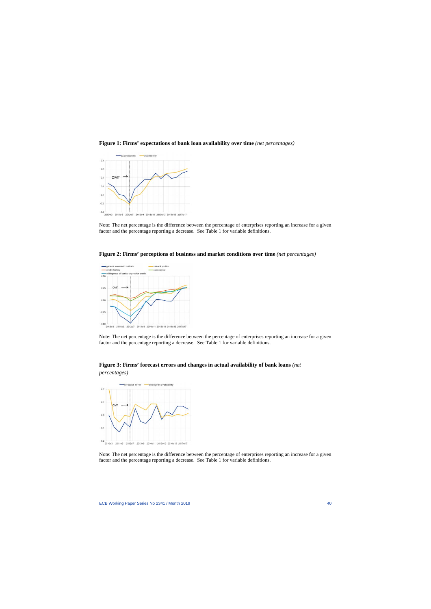



Note: The net percentage is the difference between the percentage of enterprises reporting an increase for a given factor and the percentage reporting a decrease. See Table 1 for variable definitions.



**Figure 2: Firms' perceptions of business and market conditions over time** *(net percentages)*

Note: The net percentage is the difference between the percentage of enterprises reporting an increase for a given factor and the percentage reporting a decrease. See Table 1 for variable definitions.



*percentages)*



Note: The net percentage is the difference between the percentage of enterprises reporting an increase for a given factor and the percentage reporting a decrease. See Table 1 for variable definitions.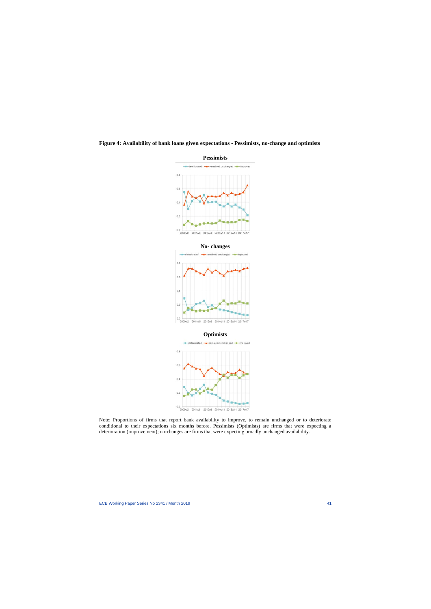



Note: Proportions of firms that report bank availability to improve, to remain unchanged or to deteriorate conditional to their expectations six months before. Pessimists (Optimists) are firms that were expecting a deterioration (improvement); no-changes are firms that were expecting broadly unchanged availability.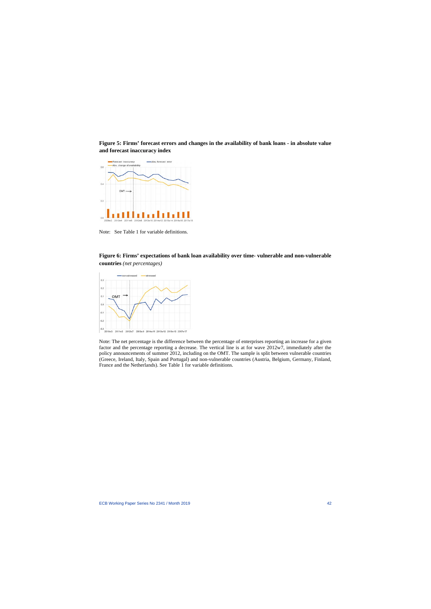**Figure 5: Firms' forecast errors and changes in the availability of bank loans - in absolute value and forecast inaccuracy index** 



Note: See Table 1 for variable definitions.

# **Figure 6: Firms' expectations of bank loan availability over time- vulnerable and non-vulnerable countries** *(net percentages)*



Note: The net percentage is the difference between the percentage of enterprises reporting an increase for a given factor and the percentage reporting a decrease. The vertical line is at for wave 2012w7, immediately after the policy announcements of summer 2012, including on the OMT. The sample is split between vulnerable countries (Greece, Ireland, Italy, Spain and Portugal) and non-vulnerable countries (Austria, Belgium, Germany, Finland, France and the Netherlands). See Table 1 for variable definitions.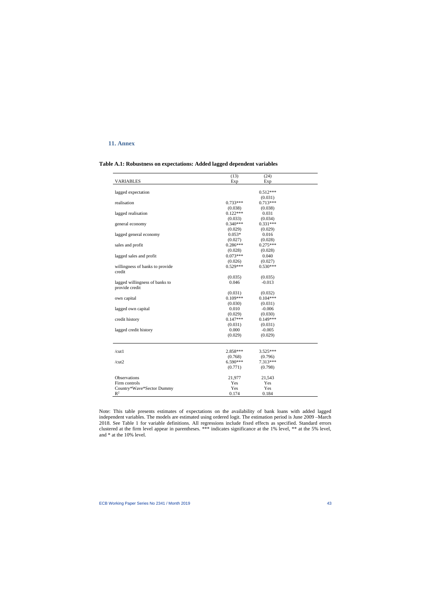# **11. Annex**

| Table A.1: Robustness on expectations: Added lagged dependent variables |  |  |  |  |
|-------------------------------------------------------------------------|--|--|--|--|
|-------------------------------------------------------------------------|--|--|--|--|

|                                 | (13)       | (24)       |  |
|---------------------------------|------------|------------|--|
| <b>VARIABLES</b>                | Exp        | Exp        |  |
|                                 |            |            |  |
| lagged expectation              |            | $0.512***$ |  |
|                                 |            | (0.031)    |  |
| realisation                     | $0.733***$ | $0.713***$ |  |
|                                 | (0.038)    | (0.038)    |  |
| lagged realisation              | $0.122***$ | 0.031      |  |
|                                 | (0.033)    | (0.034)    |  |
| general economy                 | $0.340***$ | $0.331***$ |  |
|                                 | (0.029)    | (0.029)    |  |
| lagged general economy          | $0.053*$   | 0.016      |  |
|                                 | (0.027)    | (0.028)    |  |
| sales and profit                | $0.286***$ | $0.275***$ |  |
|                                 | (0.028)    | (0.028)    |  |
| lagged sales and profit         | $0.073***$ | 0.040      |  |
|                                 | (0.026)    | (0.027)    |  |
| willingness of banks to provide | $0.529***$ | $0.530***$ |  |
| credit                          |            |            |  |
|                                 | (0.035)    | (0.035)    |  |
| lagged willingness of banks to  | 0.046      | $-0.013$   |  |
| provide credit                  |            |            |  |
|                                 | (0.031)    | (0.032)    |  |
| own capital                     | $0.109***$ | $0.104***$ |  |
|                                 | (0.030)    | (0.031)    |  |
| lagged own capital              | 0.010      | $-0.006$   |  |
|                                 | (0.029)    | (0.030)    |  |
| credit history                  | $0.147***$ | $0.149***$ |  |
|                                 | (0.031)    | (0.031)    |  |
| lagged credit history           | 0.000      | $-0.005$   |  |
|                                 | (0.029)    | (0.029)    |  |
|                                 |            |            |  |
| /cut1                           | 2.858***   | $3.525***$ |  |
|                                 | (0.768)    | (0.796)    |  |
| / $cut2$                        | $6.590***$ | 7.313***   |  |
|                                 | (0.771)    | (0.798)    |  |
| Observations                    | 21,977     | 21,543     |  |
| Firm controls                   | Yes        | Yes        |  |
| Country*Wave*Sector Dummy       | Yes        | Yes        |  |
| $R^2$                           | 0.174      | 0.184      |  |

Note: This table presents estimates of expectations on the availability of bank loans with added lagged independent variables. The models are estimated using ordered logit. The estimation period is June 2009 –March 2018. See Table 1 for variable definitions. All regressions include fixed effects as specified. Standard errors clustered at the firm level appear in parentheses. \*\*\* indicates significance at the 1% level, \*\* at the 5% level, and \* at the 10% level.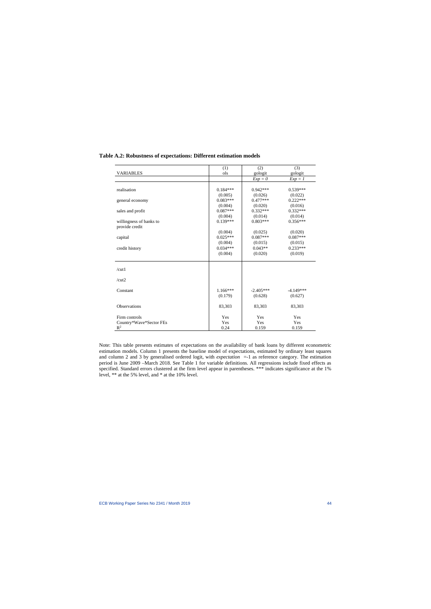|                         | (1)        | (2)         | (3)         |
|-------------------------|------------|-------------|-------------|
| <b>VARIABLES</b>        | ols        | gologit     | gologit     |
|                         |            | $Exp = 0$   | $Exp = 1$   |
|                         |            |             |             |
| realisation             | $0.184***$ | $0.942***$  | 0.539***    |
|                         | (0.005)    | (0.026)     | (0.022)     |
| general economy         | $0.083***$ | $0.477***$  | $0.222***$  |
|                         | (0.004)    | (0.020)     | (0.016)     |
| sales and profit        | $0.087***$ | $0.332***$  | $0.332***$  |
|                         | (0.004)    | (0.014)     | (0.014)     |
| willingness of banks to | $0.139***$ | $0.803***$  | $0.356***$  |
| provide credit          |            |             |             |
|                         | (0.004)    | (0.025)     | (0.020)     |
| capital                 | $0.025***$ | $0.087***$  | $0.087***$  |
|                         | (0.004)    | (0.015)     | (0.015)     |
| credit history          | $0.034***$ | $0.043**$   | $0.233***$  |
|                         | (0.004)    | (0.020)     | (0.019)     |
|                         |            |             |             |
|                         |            |             |             |
| /cut1                   |            |             |             |
|                         |            |             |             |
| /cut2                   |            |             |             |
| Constant                | $1.166***$ | $-2.405***$ | $-4.149***$ |
|                         | (0.179)    | (0.628)     | (0.627)     |
|                         |            |             |             |
| Observations            | 83,303     | 83,303      | 83,303      |
|                         |            |             |             |
| Firm controls           | Yes        | Yes         | Yes         |
| Country*Wave*Sector FEs | Yes        | Yes         | Yes         |
| $\mathbb{R}^2$          | 0.24       | 0.159       | 0.159       |
|                         |            |             |             |

### **Table A.2: Robustness of expectations: Different estimation models**

Note: This table presents estimates of expectations on the availability of bank loans by different econometric estimation models. Column 1 presents the baseline model of expectations, estimated by ordinary least squares and column 2 and 3 by generalised ordered logit, with *expectation* =-1 as reference category. The estimation period is June 2009 –March 2018. See Table 1 for variable definitions. All regressions include fixed effects as specified. Standard errors clustered at the firm level appear in parentheses. \*\*\* indicates significance at the 1% level, \*\* at the 5% level, and \* at the 10% level.